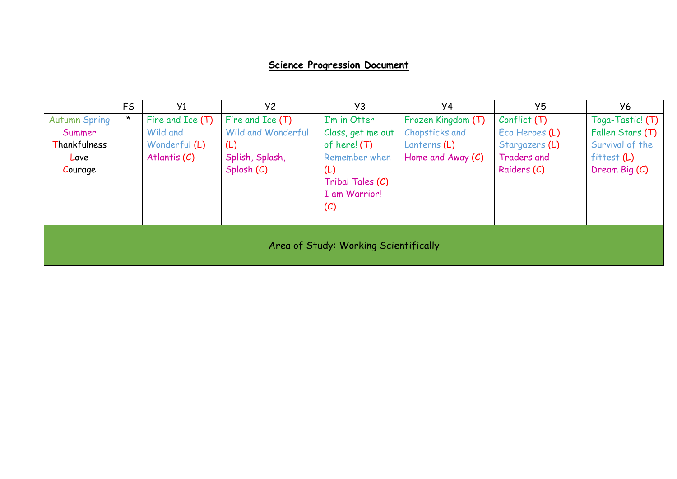## **Science Progression Document**

|                                                                                                            | <b>FS</b> | Y <sub>1</sub>   | Y2                 | Y <sub>3</sub>    | Y4                  | Y <sub>5</sub>                  | Y6               |  |  |
|------------------------------------------------------------------------------------------------------------|-----------|------------------|--------------------|-------------------|---------------------|---------------------------------|------------------|--|--|
| <b>Autumn Spring</b>                                                                                       | $\star$   | Fire and Ice (T) | Fire and Ice (T)   | I'm in Otter      | Frozen Kingdom (T)  | Conflict(T)                     | Toga-Tastic! (T) |  |  |
| Summer                                                                                                     |           | Wild and         | Wild and Wonderful | Class, get me out | Chopsticks and      | Eco Heroes (L)                  | Fallen Stars (T) |  |  |
| Thankfulness                                                                                               |           | Wonderful (L)    | (L)                | of here! (T)      | Lanterns $(L)$      | Survival of the                 |                  |  |  |
| Love                                                                                                       |           | Atlantis $(C)$   | Splish, Splash,    | Remember when     | Home and Away $(C)$ | Traders and<br>$f$ ittest $(L)$ |                  |  |  |
| Splosh (C)<br>Raiders (C)<br>Dream Big $(C)$<br>Courage<br>(L)<br>Tribal Tales (C)<br>I am Warrior!<br>(C) |           |                  |                    |                   |                     |                                 |                  |  |  |
| Area of Study: Working Scientifically                                                                      |           |                  |                    |                   |                     |                                 |                  |  |  |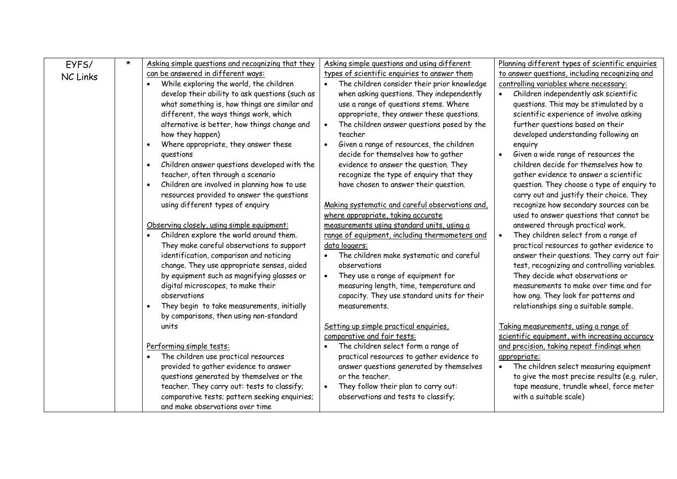| EYFS/           | $\star$ | Asking simple questions and recognizing that they | Asking simple questions and using different     | Planning different types of scientific enquiries |
|-----------------|---------|---------------------------------------------------|-------------------------------------------------|--------------------------------------------------|
| <b>NC Links</b> |         | can be answered in different ways:                | types of scientific enquiries to answer them    | to answer questions, including recognizing and   |
|                 |         | While exploring the world, the children           | The children consider their prior knowledge     | controlling variables where necessary:           |
|                 |         | develop their ability to ask questions (such as   | when asking questions. They independently       | Children independently ask scientific            |
|                 |         | what something is, how things are similar and     | use a range of questions stems. Where           | questions. This may be stimulated by a           |
|                 |         | different, the ways things work, which            | appropriate, they answer these questions.       | scientific experience of involve asking          |
|                 |         | alternative is better, how things change and      | The children answer questions posed by the      | further questions based on their                 |
|                 |         | how they happen)                                  | teacher                                         | developed understanding following an             |
|                 |         | Where appropriate, they answer these              | Given a range of resources, the children        | enquiry                                          |
|                 |         | questions                                         | decide for themselves how to gather             | Given a wide range of resources the              |
|                 |         | Children answer questions developed with the      | evidence to answer the question. They           | children decide for themselves how to            |
|                 |         | teacher, often through a scenario                 | recognize the type of enquiry that they         | gather evidence to answer a scientific           |
|                 |         | Children are involved in planning how to use      | have chosen to answer their question.           | question. They choose a type of enquiry to       |
|                 |         | resources provided to answer the questions        |                                                 | carry out and justify their choice. They         |
|                 |         | using different types of enquiry                  | Making systematic and careful observations and, | recognize how secondary sources can be           |
|                 |         |                                                   | where appropriate, taking accurate              | used to answer questions that cannot be          |
|                 |         | Observing closely, using simple equipment:        | measurements using standard units, using a      | answered through practical work.                 |
|                 |         | Children explore the world around them.           | range of equipment, including thermometers and  | They children select from a range of             |
|                 |         | They make careful observations to support         | data loggers:                                   | practical resources to gather evidence to        |
|                 |         | identification, comparison and noticing           | The children make systematic and careful        | answer their questions. They carry out fair      |
|                 |         | change. They use appropriate senses, aided        | observations                                    | test, recognizing and controlling variables.     |
|                 |         | by equipment such as magnifying glasses or        | They use a range of equipment for               | They decide what observations or                 |
|                 |         | digital microscopes, to make their                | measuring length, time, temperature and         | measurements to make over time and for           |
|                 |         | observations                                      | capacity. They use standard units for their     | how ong. They look for patterns and              |
|                 |         | They begin to take measurements, initially        | measurements.                                   | relationships sing a suitable sample.            |
|                 |         | by comparisons, then using non-standard           |                                                 |                                                  |
|                 |         | units                                             | Setting up simple practical enquiries,          | Taking measurements, using a range of            |
|                 |         |                                                   | comparative and fair tests:                     | scientific equipment, with increasing accuracy   |
|                 |         | Performing simple tests:                          | The children select form a range of             | and precision, taking repeat findings when       |
|                 |         | The children use practical resources              | practical resources to gather evidence to       | appropriate:                                     |
|                 |         | provided to gather evidence to answer             | answer questions generated by themselves        | The children select measuring equipment          |
|                 |         | questions generated by themselves or the          | or the teacher.                                 | to give the most precise results (e.g. ruler,    |
|                 |         | teacher. They carry out: tests to classify;       | They follow their plan to carry out:            | tape measure, trundle wheel, force meter         |
|                 |         | comparative tests; pattern seeking enquiries;     | observations and tests to classify;             | with a suitable scale)                           |
|                 |         | and make observations over time                   |                                                 |                                                  |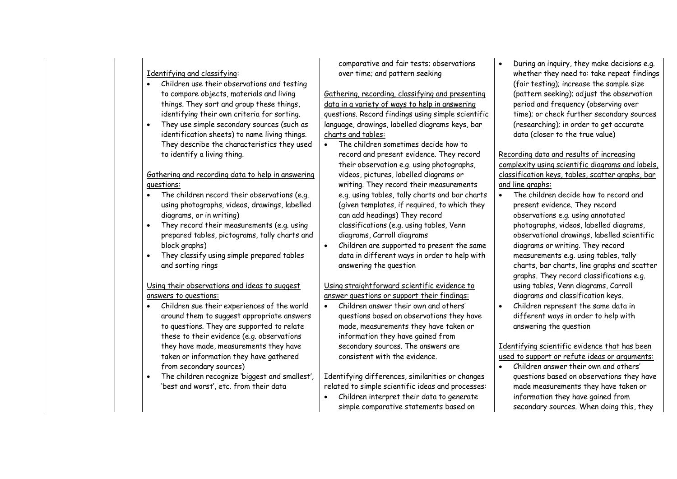|                                                   | comparative and fair tests; observations           | During an inquiry, they make decisions e.g.      |
|---------------------------------------------------|----------------------------------------------------|--------------------------------------------------|
| Identifying and classifying:                      | over time; and pattern seeking                     | whether they need to: take repeat findings       |
| Children use their observations and testing       |                                                    | (fair testing); increase the sample size         |
| to compare objects, materials and living          | Gathering, recording, classifying and presenting   | (pattern seeking); adjust the observation        |
| things. They sort and group these things,         | data in a variety of ways to help in answering     | period and frequency (observing over             |
| identifying their own criteria for sorting.       | guestions. Record findings using simple scientific | time); or check further secondary sources        |
| They use simple secondary sources (such as        | language, drawings, labelled diagrams keys, bar    | (researching); in order to get accurate          |
| identification sheets) to name living things.     | charts and tables:                                 | data (closer to the true value)                  |
| They describe the characteristics they used       | The children sometimes decide how to               |                                                  |
| to identify a living thing.                       | record and present evidence. They record           | Recording data and results of increasing         |
|                                                   | their observation e.g. using photographs,          | complexity using scientific diagrams and labels, |
| Gathering and recording data to help in answering | videos, pictures, labelled diagrams or             | classification keys, tables, scatter graphs, bar |
| questions:                                        | writing. They record their measurements            | and line graphs:                                 |
| The children record their observations (e.g.      | e.g. using tables, tally charts and bar charts     | The children decide how to record and            |
| using photographs, videos, drawings, labelled     | (given templates, if required, to which they       | present evidence. They record                    |
| diagrams, or in writing)                          | can add headings) They record                      | observations e.g. using annotated                |
| They record their measurements (e.g. using        | classifications (e.g. using tables, Venn           | photographs, videos, labelled diagrams,          |
| prepared tables, pictograms, tally charts and     | diagrams, Carroll diagrams                         | observational drawings, labelled scientific      |
| block graphs)                                     | Children are supported to present the same         | diagrams or writing. They record                 |
| They classify using simple prepared tables        | data in different ways in order to help with       | measurements e.g. using tables, tally            |
| and sorting rings                                 | answering the question                             | charts, bar charts, line graphs and scatter      |
|                                                   |                                                    | graphs. They record classifications e.g.         |
| Using their observations and ideas to suggest     | Using straightforward scientific evidence to       | using tables, Venn diagrams, Carroll             |
| answers to questions:                             | answer questions or support their findings:        | diagrams and classification keys.                |
| Children sue their experiences of the world       | Children answer their own and others'<br>$\bullet$ | Children represent the same data in              |
| around them to suggest appropriate answers        | questions based on observations they have          | different ways in order to help with             |
| to questions. They are supported to relate        | made, measurements they have taken or              | answering the question                           |
| these to their evidence (e.g. observations        | information they have gained from                  |                                                  |
| they have made, measurements they have            | secondary sources. The answers are                 | Identifying scientific evidence that has been    |
| taken or information they have gathered           | consistent with the evidence.                      | used to support or refute ideas or arguments:    |
| from secondary sources)                           |                                                    | Children answer their own and others'            |
| The children recognize 'biggest and smallest',    | Identifying differences, similarities or changes   | questions based on observations they have        |
| 'best and worst', etc. from their data            | related to simple scientific ideas and processes:  | made measurements they have taken or             |
|                                                   | Children interpret their data to generate          | information they have gained from                |
|                                                   | simple comparative statements based on             | secondary sources. When doing this, they         |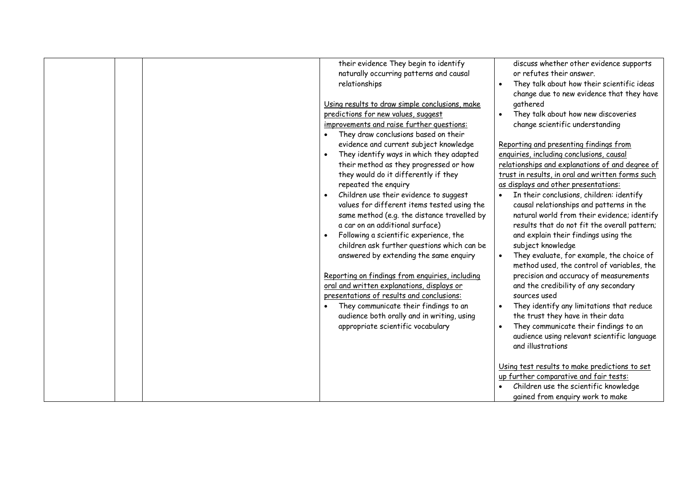|  | their evidence They begin to identify<br>naturally occurring patterns and causal<br>relationships<br>Using results to draw simple conclusions, make<br>predictions for new values, suggest<br>improvements and raise further questions:<br>They draw conclusions based on their<br>evidence and current subject knowledge<br>They identify ways in which they adapted<br>their method as they progressed or how<br>they would do it differently if they<br>repeated the enquiry<br>Children use their evidence to suggest<br>$\bullet$<br>values for different items tested using the<br>same method (e.g. the distance travelled by<br>a car on an additional surface)<br>Following a scientific experience, the<br>children ask further questions which can be<br>answered by extending the same enquiry<br>Reporting on findings from enquiries, including<br>oral and written explanations, displays or<br>presentations of results and conclusions:<br>They communicate their findings to an<br>audience both orally and in writing, using<br>appropriate scientific vocabulary | discuss whether other evidence supports<br>or refutes their answer.<br>They talk about how their scientific ideas<br>change due to new evidence that they have<br>gathered<br>They talk about how new discoveries<br>change scientific understanding<br>Reporting and presenting findings from<br>enquiries, including conclusions, causal<br>relationships and explanations of and degree of<br>trust in results, in oral and written forms such<br>as displays and other presentations:<br>In their conclusions, children: identify<br>causal relationships and patterns in the<br>natural world from their evidence; identify<br>results that do not fit the overall pattern;<br>and explain their findings using the<br>subject knowledge<br>They evaluate, for example, the choice of<br>method used, the control of variables, the<br>precision and accuracy of measurements<br>and the credibility of any secondary<br>sources used<br>They identify any limitations that reduce<br>the trust they have in their data<br>They communicate their findings to an<br>audience using relevant scientific language<br>and illustrations<br>Using test results to make predictions to set<br>up further comparative and fair tests:<br>Children use the scientific knowledge |
|--|--------------------------------------------------------------------------------------------------------------------------------------------------------------------------------------------------------------------------------------------------------------------------------------------------------------------------------------------------------------------------------------------------------------------------------------------------------------------------------------------------------------------------------------------------------------------------------------------------------------------------------------------------------------------------------------------------------------------------------------------------------------------------------------------------------------------------------------------------------------------------------------------------------------------------------------------------------------------------------------------------------------------------------------------------------------------------------------|-------------------------------------------------------------------------------------------------------------------------------------------------------------------------------------------------------------------------------------------------------------------------------------------------------------------------------------------------------------------------------------------------------------------------------------------------------------------------------------------------------------------------------------------------------------------------------------------------------------------------------------------------------------------------------------------------------------------------------------------------------------------------------------------------------------------------------------------------------------------------------------------------------------------------------------------------------------------------------------------------------------------------------------------------------------------------------------------------------------------------------------------------------------------------------------------------------------------------------------------------------------------------------|
|  |                                                                                                                                                                                                                                                                                                                                                                                                                                                                                                                                                                                                                                                                                                                                                                                                                                                                                                                                                                                                                                                                                      | gained from enguiry work to make                                                                                                                                                                                                                                                                                                                                                                                                                                                                                                                                                                                                                                                                                                                                                                                                                                                                                                                                                                                                                                                                                                                                                                                                                                              |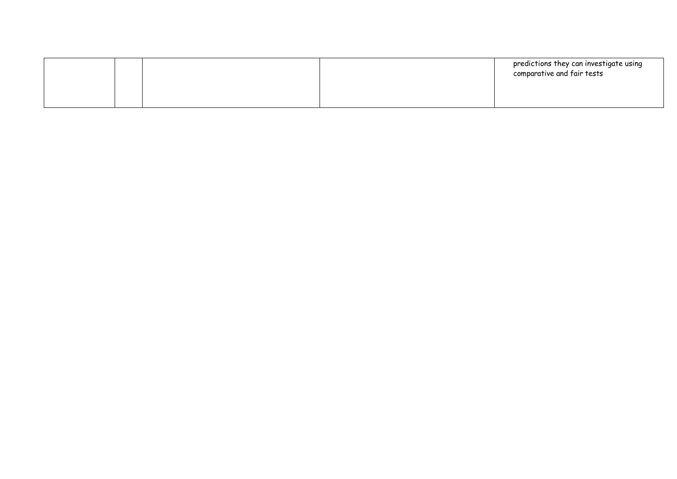|  | predictions they can investigate using<br>comparative and fair tests |
|--|----------------------------------------------------------------------|
|  |                                                                      |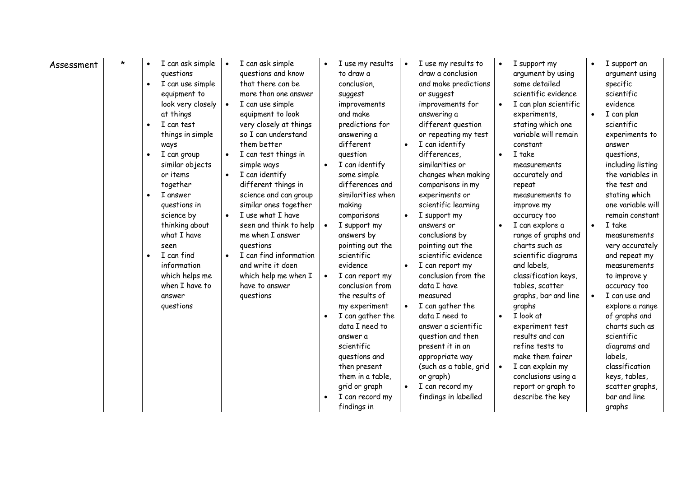| Assessment | $\star$ | I can ask simple<br>$\bullet$<br>questions<br>I can use simple<br>$\bullet$<br>equipment to<br>look very closely<br>at things<br>I can test<br>$\bullet$<br>things in simple<br>ways<br>I can group<br>$\bullet$<br>similar objects<br>or items<br>together<br>I answer<br>$\bullet$<br>questions in<br>science by<br>thinking about<br>what I have<br>seen<br>I can find<br>$\bullet$<br>information<br>which helps me<br>when I have to<br>answer<br>questions | $\bullet$ | I can ask simple<br>questions and know<br>that there can be<br>more than one answer<br>I can use simple<br>equipment to look<br>very closely at things<br>so I can understand<br>them better<br>I can test things in<br>simple ways<br>I can identify<br>different things in<br>science and can group<br>similar ones together<br>I use what I have<br>seen and think to help<br>me when I answer<br>questions<br>I can find information<br>and write it doen<br>which help me when I<br>have to answer<br>questions | $\bullet$ | I use my results<br>to draw a<br>conclusion,<br>suggest<br>improvements<br>and make<br>predictions for<br>answering a<br>different<br>question<br>I can identify<br>some simple<br>differences and<br>similarities when<br>making<br>comparisons<br>I support my<br>answers by<br>pointing out the<br>scientific<br>evidence<br>I can report my<br>conclusion from<br>the results of<br>my experiment<br>I can gather the<br>data I need to<br>answer a<br>scientific<br>questions and<br>then present<br>them in a table,<br>grid or graph<br>I can record my<br>findings in | $\bullet$<br>$\bullet$ | I use my results to<br>draw a conclusion<br>and make predictions<br>or suggest<br>improvements for<br>answering a<br>different question<br>or repeating my test<br>I can identify<br>differences.<br>similarities or<br>changes when making<br>comparisons in my<br>experiments or<br>scientific learning<br>I support my<br>answers or<br>conclusions by<br>pointing out the<br>scientific evidence<br>I can report my<br>conclusion from the<br>data I have<br>measured<br>I can gather the<br>data I need to<br>answer a scientific<br>question and then<br>present it in an<br>appropriate way<br>(such as a table, grid<br>or graph)<br>I can record my<br>findings in labelled | I support my<br>argument by using<br>some detailed<br>scientific evidence<br>I can plan scientific<br>experiments,<br>stating which one<br>variable will remain<br>constant<br>I take<br>measurements<br>accurately and<br>repeat<br>measurements to<br>improve my<br>accuracy too<br>I can explore a<br>range of graphs and<br>charts such as<br>scientific diagrams<br>and labels,<br>classification keys,<br>tables, scatter<br>graphs, bar and line<br>graphs<br>I look at<br>experiment test<br>results and can<br>refine tests to<br>make them fairer<br>I can explain my<br>conclusions using a<br>report or graph to<br>describe the key | $\bullet$<br>$\bullet$<br>$\bullet$<br>$\bullet$ | I support an<br>argument using<br>specific<br>scientific<br>evidence<br>I can plan<br>scientific<br>experiments to<br>answer<br>questions,<br>including listing<br>the variables in<br>the test and<br>stating which<br>one variable will<br>remain constant<br>I take<br>measurements<br>very accurately<br>and repeat my<br>measurements<br>to improve y<br>accuracy too<br>I can use and<br>explore a range<br>of graphs and<br>charts such as<br>scientific<br>diagrams and<br>labels,<br>classification<br>keys, tables,<br>scatter graphs,<br>bar and line<br>graphs |
|------------|---------|------------------------------------------------------------------------------------------------------------------------------------------------------------------------------------------------------------------------------------------------------------------------------------------------------------------------------------------------------------------------------------------------------------------------------------------------------------------|-----------|----------------------------------------------------------------------------------------------------------------------------------------------------------------------------------------------------------------------------------------------------------------------------------------------------------------------------------------------------------------------------------------------------------------------------------------------------------------------------------------------------------------------|-----------|-------------------------------------------------------------------------------------------------------------------------------------------------------------------------------------------------------------------------------------------------------------------------------------------------------------------------------------------------------------------------------------------------------------------------------------------------------------------------------------------------------------------------------------------------------------------------------|------------------------|--------------------------------------------------------------------------------------------------------------------------------------------------------------------------------------------------------------------------------------------------------------------------------------------------------------------------------------------------------------------------------------------------------------------------------------------------------------------------------------------------------------------------------------------------------------------------------------------------------------------------------------------------------------------------------------|--------------------------------------------------------------------------------------------------------------------------------------------------------------------------------------------------------------------------------------------------------------------------------------------------------------------------------------------------------------------------------------------------------------------------------------------------------------------------------------------------------------------------------------------------------------------------------------------------------------------------------------------------|--------------------------------------------------|----------------------------------------------------------------------------------------------------------------------------------------------------------------------------------------------------------------------------------------------------------------------------------------------------------------------------------------------------------------------------------------------------------------------------------------------------------------------------------------------------------------------------------------------------------------------------|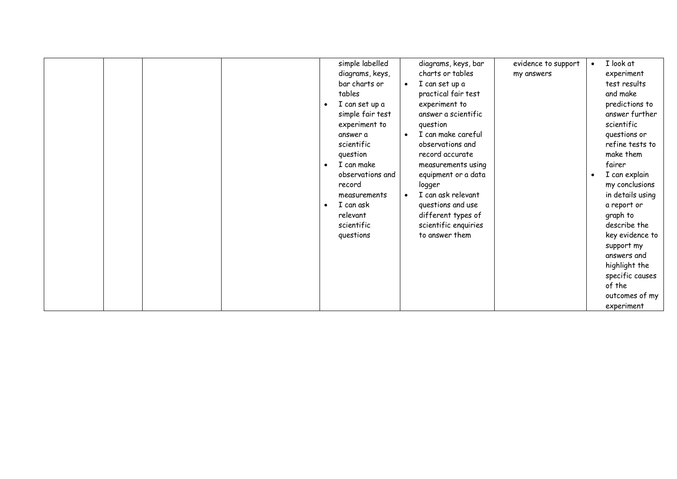|  |                             |                                 |                     | I look at        |
|--|-----------------------------|---------------------------------|---------------------|------------------|
|  | simple labelled             | diagrams, keys, bar             | evidence to support | $\bullet$        |
|  | diagrams, keys,             | charts or tables                | my answers          | experiment       |
|  | bar charts or               | I can set up a<br>$\bullet$     |                     | test results     |
|  | tables                      | practical fair test             |                     | and make         |
|  | I can set up a<br>$\bullet$ | experiment to                   |                     | predictions to   |
|  | simple fair test            | answer a scientific             |                     | answer further   |
|  | experiment to               | question                        |                     | scientific       |
|  | answer a                    | I can make careful<br>$\bullet$ |                     | questions or     |
|  | scientific                  | observations and                |                     | refine tests to  |
|  |                             |                                 |                     |                  |
|  | question                    | record accurate                 |                     | make them        |
|  | I can make<br>$\bullet$     | measurements using              |                     | fairer           |
|  | observations and            | equipment or a data             |                     | I can explain    |
|  | record                      | logger                          |                     | my conclusions   |
|  | measurements                | I can ask relevant              |                     | in details using |
|  | I can ask                   | questions and use               |                     | a report or      |
|  | relevant                    | different types of              |                     | graph to         |
|  | scientific                  | scientific enquiries            |                     | describe the     |
|  | questions                   | to answer them                  |                     | key evidence to  |
|  |                             |                                 |                     |                  |
|  |                             |                                 |                     | support my       |
|  |                             |                                 |                     | answers and      |
|  |                             |                                 |                     | highlight the    |
|  |                             |                                 |                     | specific causes  |
|  |                             |                                 |                     | of the           |
|  |                             |                                 |                     | outcomes of my   |
|  |                             |                                 |                     | experiment       |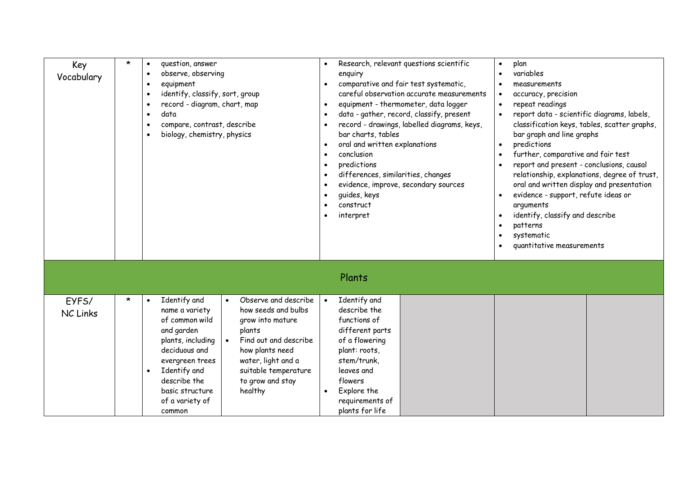| Key<br>Vocabulary        | $\star$ | question, answer<br>$\bullet$<br>observe, observing<br>$\bullet$<br>equipment<br>$\bullet$<br>identify, classify, sort, group<br>$\bullet$<br>record - diagram, chart, map<br>$\bullet$<br>data<br>$\bullet$<br>compare, contrast, describe<br>$\bullet$<br>biology, chemistry, physics<br>$\bullet$                                                                                                                                                 | Research, relevant questions scientific<br>enquiry<br>comparative and fair test systematic,<br>careful observation accurate measurements<br>equipment - thermometer, data logger<br>data - gather, record, classify, present<br>record - drawings, labelled diagrams, keys,<br>bar charts, tables<br>oral and written explanations<br>conclusion<br>predictions<br>differences, similarities, changes<br>evidence, improve, secondary sources<br>quides, keys<br>construct<br>interpret | variables<br>measurements<br>accuracy, precision<br>repeat readings<br>$\bullet$<br>report data - scientific diagrams, labels,<br>classification keys, tables, scatter graphs,<br>bar graph and line graphs<br>predictions<br>$\bullet$<br>further, comparative and fair test<br>report and present - conclusions, causal<br>relationship, explanations, degree of trust,<br>oral and written display and presentation<br>evidence - support, refute ideas or<br>arguments<br>identify, classify and describe<br>patterns<br>systematic<br>quantitative measurements |  |
|--------------------------|---------|------------------------------------------------------------------------------------------------------------------------------------------------------------------------------------------------------------------------------------------------------------------------------------------------------------------------------------------------------------------------------------------------------------------------------------------------------|-----------------------------------------------------------------------------------------------------------------------------------------------------------------------------------------------------------------------------------------------------------------------------------------------------------------------------------------------------------------------------------------------------------------------------------------------------------------------------------------|----------------------------------------------------------------------------------------------------------------------------------------------------------------------------------------------------------------------------------------------------------------------------------------------------------------------------------------------------------------------------------------------------------------------------------------------------------------------------------------------------------------------------------------------------------------------|--|
|                          |         |                                                                                                                                                                                                                                                                                                                                                                                                                                                      | Plants                                                                                                                                                                                                                                                                                                                                                                                                                                                                                  |                                                                                                                                                                                                                                                                                                                                                                                                                                                                                                                                                                      |  |
| EYFS/<br><b>NC Links</b> | $\star$ | Observe and describe<br>Identify and<br>$\bullet$<br>$\bullet$<br>how seeds and bulbs<br>name a variety<br>of common wild<br>grow into mature<br>and garden<br>plants<br>Find out and describe<br>plants, including<br>deciduous and<br>how plants need<br>water, light and a<br>evergreen trees<br>Identify and<br>suitable temperature<br>$\bullet$<br>to grow and stay<br>describe the<br>healthy<br>basic structure<br>of a variety of<br>common | Identify and<br>describe the<br>functions of<br>different parts<br>of a flowering<br>plant: roots,<br>stem/trunk,<br>leaves and<br>flowers<br>Explore the<br>$\bullet$<br>requirements of<br>plants for life                                                                                                                                                                                                                                                                            |                                                                                                                                                                                                                                                                                                                                                                                                                                                                                                                                                                      |  |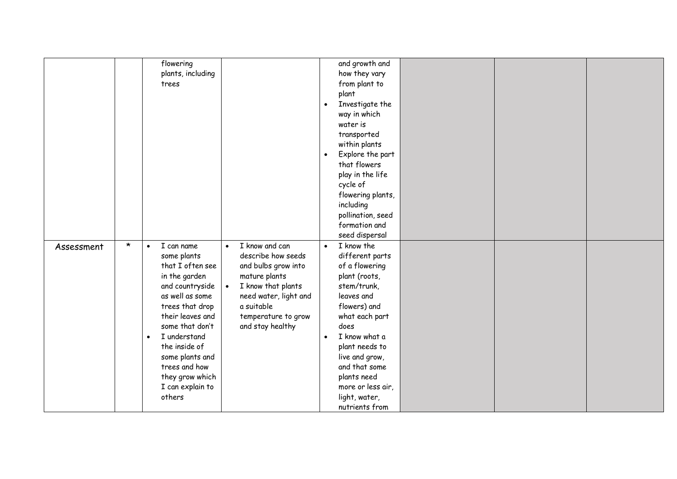|            |         | flowering                        |                                 | and growth and                  |  |  |
|------------|---------|----------------------------------|---------------------------------|---------------------------------|--|--|
|            |         | plants, including                |                                 | how they vary                   |  |  |
|            |         | trees                            |                                 | from plant to                   |  |  |
|            |         |                                  |                                 | plant                           |  |  |
|            |         |                                  |                                 | Investigate the<br>$\bullet$    |  |  |
|            |         |                                  |                                 | way in which                    |  |  |
|            |         |                                  |                                 | water is                        |  |  |
|            |         |                                  |                                 | transported                     |  |  |
|            |         |                                  |                                 | within plants                   |  |  |
|            |         |                                  |                                 | Explore the part<br>$\bullet$   |  |  |
|            |         |                                  |                                 | that flowers                    |  |  |
|            |         |                                  |                                 | play in the life                |  |  |
|            |         |                                  |                                 | cycle of                        |  |  |
|            |         |                                  |                                 | flowering plants,               |  |  |
|            |         |                                  |                                 | including                       |  |  |
|            |         |                                  |                                 | pollination, seed               |  |  |
|            |         |                                  |                                 | formation and                   |  |  |
|            |         |                                  |                                 | seed dispersal                  |  |  |
|            | $\star$ | I can name<br>$\bullet$          | I know and can<br>$\bullet$     | I know the<br>$\bullet$         |  |  |
| Assessment |         | some plants                      | describe how seeds              | different parts                 |  |  |
|            |         | that I often see                 | and bulbs grow into             | of a flowering                  |  |  |
|            |         | in the garden                    | mature plants                   | plant (roots,                   |  |  |
|            |         | and countryside                  | I know that plants<br>$\bullet$ | stem/trunk,                     |  |  |
|            |         | as well as some                  | need water, light and           | leaves and                      |  |  |
|            |         | trees that drop                  | a suitable                      | flowers) and                    |  |  |
|            |         | their leaves and                 |                                 |                                 |  |  |
|            |         | some that don't                  | temperature to grow             | what each part<br>does          |  |  |
|            |         | I understand<br>$\bullet$        | and stay healthy                | I know what a                   |  |  |
|            |         | the inside of                    |                                 |                                 |  |  |
|            |         |                                  |                                 | plant needs to                  |  |  |
|            |         | some plants and<br>trees and how |                                 | live and grow,<br>and that some |  |  |
|            |         |                                  |                                 |                                 |  |  |
|            |         | they grow which                  |                                 | plants need                     |  |  |
|            |         | I can explain to                 |                                 | more or less air,               |  |  |
|            |         | others                           |                                 | light, water,                   |  |  |
|            |         |                                  |                                 | nutrients from                  |  |  |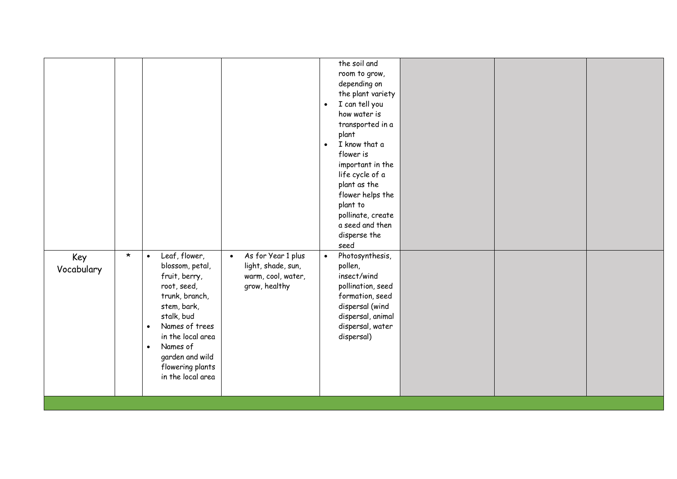|--|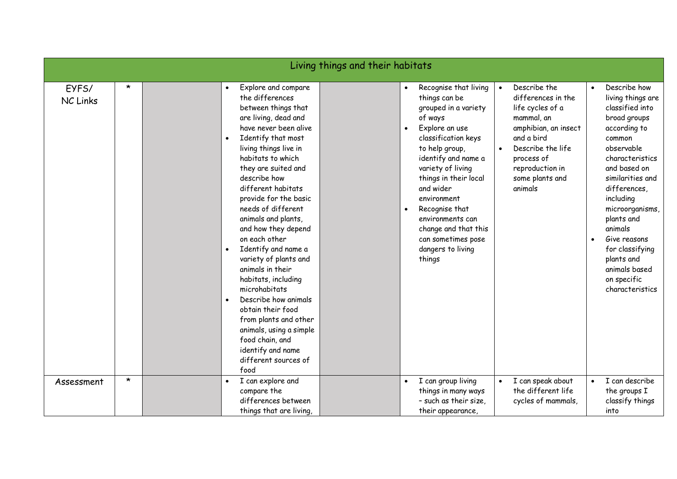|                          |                    |                                                                                                                                                                                                                                                                                                                                                                                                                                                                                                                                                                                                                                                                                                   | Living things and their habitats |                                                                                                                                                                                                                                                                                                                                                                                                          |                                                                                                                                                                                                                                               |                                                                                                                                                                                                                                                                                                                                                                                                          |
|--------------------------|--------------------|---------------------------------------------------------------------------------------------------------------------------------------------------------------------------------------------------------------------------------------------------------------------------------------------------------------------------------------------------------------------------------------------------------------------------------------------------------------------------------------------------------------------------------------------------------------------------------------------------------------------------------------------------------------------------------------------------|----------------------------------|----------------------------------------------------------------------------------------------------------------------------------------------------------------------------------------------------------------------------------------------------------------------------------------------------------------------------------------------------------------------------------------------------------|-----------------------------------------------------------------------------------------------------------------------------------------------------------------------------------------------------------------------------------------------|----------------------------------------------------------------------------------------------------------------------------------------------------------------------------------------------------------------------------------------------------------------------------------------------------------------------------------------------------------------------------------------------------------|
| EYFS/<br><b>NC Links</b> | $\star$<br>$\star$ | Explore and compare<br>$\bullet$<br>the differences<br>between things that<br>are living, dead and<br>have never been alive<br>Identify that most<br>living things live in<br>habitats to which<br>they are suited and<br>describe how<br>different habitats<br>provide for the basic<br>needs of different<br>animals and plants,<br>and how they depend<br>on each other<br>Identify and name a<br>variety of plants and<br>animals in their<br>habitats, including<br>microhabitats<br>Describe how animals<br>obtain their food<br>from plants and other<br>animals, using a simple<br>food chain, and<br>identify and name<br>different sources of<br>food<br>I can explore and<br>$\bullet$ |                                  | Recognise that living<br>things can be<br>grouped in a variety<br>of ways<br>Explore an use<br>$\bullet$<br>classification keys<br>to help group,<br>identify and name a<br>variety of living<br>things in their local<br>and wider<br>environment<br>Recognise that<br>$\bullet$<br>environments can<br>change and that this<br>can sometimes pose<br>dangers to living<br>things<br>I can group living | Describe the<br>$\bullet$<br>differences in the<br>life cycles of a<br>mammal, an<br>amphibian, an insect<br>and a bird<br>Describe the life<br>process of<br>reproduction in<br>some plants and<br>animals<br>I can speak about<br>$\bullet$ | Describe how<br>$\bullet$<br>living things are<br>classified into<br>broad groups<br>according to<br>common<br>observable<br>characteristics<br>and based on<br>similarities and<br>differences,<br>including<br>microorganisms<br>plants and<br>animals<br>Give reasons<br>$\bullet$<br>for classifying<br>plants and<br>animals based<br>on specific<br>characteristics<br>I can describe<br>$\bullet$ |
| Assessment               |                    | compare the<br>differences between<br>things that are living,                                                                                                                                                                                                                                                                                                                                                                                                                                                                                                                                                                                                                                     |                                  | things in many ways<br>- such as their size,<br>their appearance,                                                                                                                                                                                                                                                                                                                                        | the different life<br>cycles of mammals,                                                                                                                                                                                                      | the groups I<br>classify things<br>into                                                                                                                                                                                                                                                                                                                                                                  |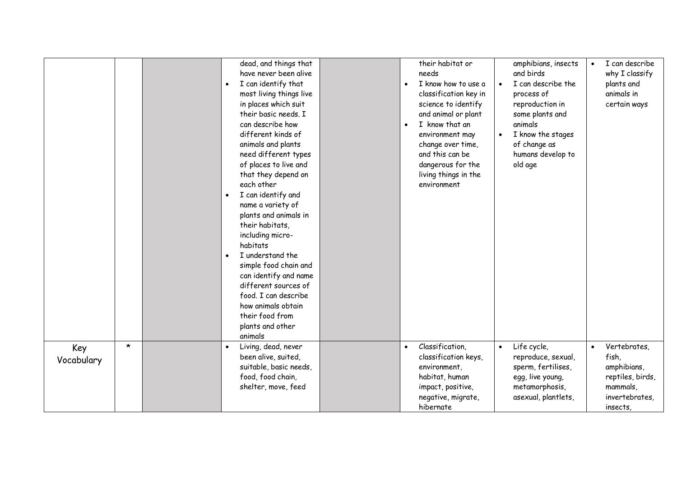|            |         |           | dead, and things that   |           | their habitat or      |           | amphibians, insects | $\bullet$ | I can describe   |
|------------|---------|-----------|-------------------------|-----------|-----------------------|-----------|---------------------|-----------|------------------|
|            |         |           | have never been alive   |           | needs                 |           | and birds           |           | why I classify   |
|            |         | $\bullet$ | I can identify that     | $\bullet$ | I know how to use a   | $\bullet$ | I can describe the  |           | plants and       |
|            |         |           | most living things live |           | classification key in |           | process of          |           | animals in       |
|            |         |           | in places which suit    |           | science to identify   |           | reproduction in     |           | certain ways     |
|            |         |           | their basic needs. I    |           | and animal or plant   |           | some plants and     |           |                  |
|            |         |           | can describe how        | $\bullet$ | I know that an        |           | animals             |           |                  |
|            |         |           | different kinds of      |           | environment may       |           | I know the stages   |           |                  |
|            |         |           | animals and plants      |           | change over time,     |           | of change as        |           |                  |
|            |         |           | need different types    |           | and this can be       |           | humans develop to   |           |                  |
|            |         |           | of places to live and   |           | dangerous for the     |           | old age             |           |                  |
|            |         |           | that they depend on     |           | living things in the  |           |                     |           |                  |
|            |         |           | each other              |           | environment           |           |                     |           |                  |
|            |         | $\bullet$ | I can identify and      |           |                       |           |                     |           |                  |
|            |         |           | name a variety of       |           |                       |           |                     |           |                  |
|            |         |           | plants and animals in   |           |                       |           |                     |           |                  |
|            |         |           | their habitats,         |           |                       |           |                     |           |                  |
|            |         |           | including micro-        |           |                       |           |                     |           |                  |
|            |         |           | habitats                |           |                       |           |                     |           |                  |
|            |         |           | I understand the        |           |                       |           |                     |           |                  |
|            |         |           | simple food chain and   |           |                       |           |                     |           |                  |
|            |         |           | can identify and name   |           |                       |           |                     |           |                  |
|            |         |           | different sources of    |           |                       |           |                     |           |                  |
|            |         |           | food. I can describe    |           |                       |           |                     |           |                  |
|            |         |           | how animals obtain      |           |                       |           |                     |           |                  |
|            |         |           | their food from         |           |                       |           |                     |           |                  |
|            |         |           | plants and other        |           |                       |           |                     |           |                  |
|            |         |           | animals                 |           |                       |           |                     |           |                  |
| Key        | $\star$ |           | Living, dead, never     | $\bullet$ | Classification,       | $\bullet$ | Life cycle,         | $\bullet$ | Vertebrates,     |
| Vocabulary |         |           | been alive, suited,     |           | classification keys,  |           | reproduce, sexual,  |           | fish,            |
|            |         |           | suitable, basic needs,  |           | environment,          |           | sperm, fertilises,  |           | amphibians,      |
|            |         |           | food, food chain,       |           | habitat, human        |           | egg, live young,    |           | reptiles, birds, |
|            |         |           | shelter, move, feed     |           | impact, positive,     |           | metamorphosis,      |           | mammals,         |
|            |         |           |                         |           | negative, migrate,    |           | asexual, plantlets, |           | invertebrates,   |
|            |         |           |                         |           | hibernate             |           |                     |           | insects,         |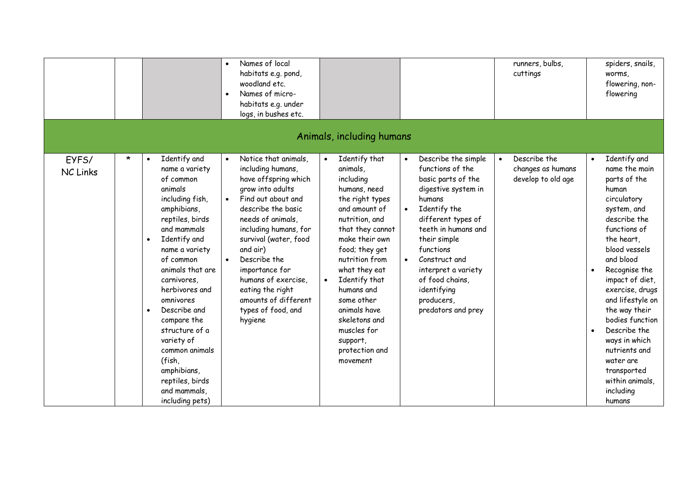|                          |         |                                                                                                                                                                                                                                                                                                                                                                                                                                                    | Names of local<br>habitats e.g. pond,<br>woodland etc.<br>Names of micro-<br>habitats e.g. under<br>logs, in bushes etc.                                                                                                                                                                                                                                                                          |                                                                                                                                                                                                                                                                                                                                                |                                                                                                                                                                                                                                                                                                                     | runners, bulbs,<br>cuttings                             | spiders, snails,<br>worms,<br>flowering, non-<br>flowering                                                                                                                                                                                                                                                                                                                                                                                     |
|--------------------------|---------|----------------------------------------------------------------------------------------------------------------------------------------------------------------------------------------------------------------------------------------------------------------------------------------------------------------------------------------------------------------------------------------------------------------------------------------------------|---------------------------------------------------------------------------------------------------------------------------------------------------------------------------------------------------------------------------------------------------------------------------------------------------------------------------------------------------------------------------------------------------|------------------------------------------------------------------------------------------------------------------------------------------------------------------------------------------------------------------------------------------------------------------------------------------------------------------------------------------------|---------------------------------------------------------------------------------------------------------------------------------------------------------------------------------------------------------------------------------------------------------------------------------------------------------------------|---------------------------------------------------------|------------------------------------------------------------------------------------------------------------------------------------------------------------------------------------------------------------------------------------------------------------------------------------------------------------------------------------------------------------------------------------------------------------------------------------------------|
|                          |         |                                                                                                                                                                                                                                                                                                                                                                                                                                                    |                                                                                                                                                                                                                                                                                                                                                                                                   | Animals, including humans                                                                                                                                                                                                                                                                                                                      |                                                                                                                                                                                                                                                                                                                     |                                                         |                                                                                                                                                                                                                                                                                                                                                                                                                                                |
| EYFS/<br><b>NC Links</b> | $\star$ | Identify and<br>$\bullet$<br>name a variety<br>of common<br>animals<br>including fish,<br>amphibians,<br>reptiles, birds<br>and mammals<br>Identify and<br>$\bullet$<br>name a variety<br>of common<br>animals that are<br>carnivores,<br>herbivores and<br>omnivores<br>Describe and<br>$\bullet$<br>compare the<br>structure of a<br>variety of<br>common animals<br>(fish,<br>amphibians,<br>reptiles, birds<br>and mammals,<br>including pets) | Notice that animals,<br>$\bullet$<br>including humans,<br>have offspring which<br>grow into adults<br>Find out about and<br>$\bullet$<br>describe the basic<br>needs of animals,<br>including humans, for<br>survival (water, food<br>and air)<br>Describe the<br>$\bullet$<br>importance for<br>humans of exercise,<br>eating the right<br>amounts of different<br>types of food, and<br>hygiene | Identify that<br>animals,<br>including<br>humans, need<br>the right types<br>and amount of<br>nutrition, and<br>that they cannot<br>make their own<br>food; they get<br>nutrition from<br>what they eat<br>Identify that<br>humans and<br>some other<br>animals have<br>skeletons and<br>muscles for<br>support,<br>protection and<br>movement | Describe the simple<br>$\bullet$<br>functions of the<br>basic parts of the<br>digestive system in<br>humans<br>Identify the<br>different types of<br>teeth in humans and<br>their simple<br>functions<br>Construct and<br>interpret a variety<br>of food chains,<br>identifying<br>producers,<br>predators and prey | Describe the<br>changes as humans<br>develop to old age | Identify and<br>$\bullet$<br>name the main<br>parts of the<br>human<br>circulatory<br>system, and<br>describe the<br>functions of<br>the heart,<br>blood vessels<br>and blood<br>Recognise the<br>$\bullet$<br>impact of diet,<br>exercise, drugs<br>and lifestyle on<br>the way their<br>bodies function<br>Describe the<br>$\bullet$<br>ways in which<br>nutrients and<br>water are<br>transported<br>within animals,<br>including<br>humans |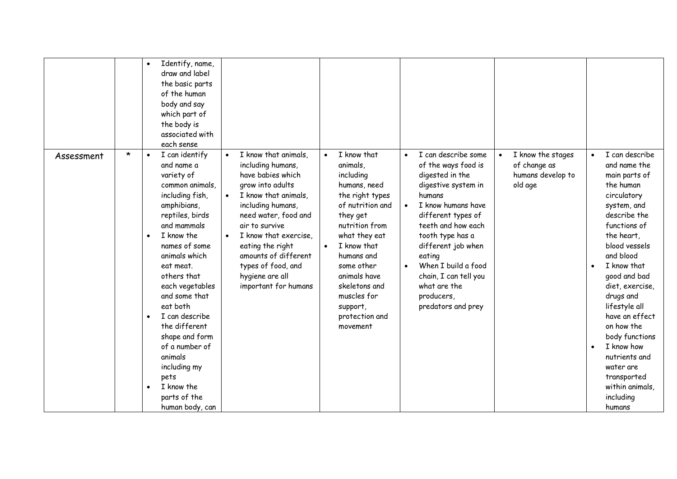|            |         | $\bullet$                           | Identify, name,<br>draw and label<br>the basic parts<br>of the human<br>body and say<br>which part of<br>the body is<br>associated with<br>each sense                                                                                                                                                                                                                                                                    |                        |                                                                                                                                                                                                                                                                                                                 |                        |                                                                                                                                                                                                                                                                                 |           |                                                                                                                                                                                                                                                                                                                          |                                                                   |                                     |                                                                                                                                                                                                                                                                                                                                                                                                               |
|------------|---------|-------------------------------------|--------------------------------------------------------------------------------------------------------------------------------------------------------------------------------------------------------------------------------------------------------------------------------------------------------------------------------------------------------------------------------------------------------------------------|------------------------|-----------------------------------------------------------------------------------------------------------------------------------------------------------------------------------------------------------------------------------------------------------------------------------------------------------------|------------------------|---------------------------------------------------------------------------------------------------------------------------------------------------------------------------------------------------------------------------------------------------------------------------------|-----------|--------------------------------------------------------------------------------------------------------------------------------------------------------------------------------------------------------------------------------------------------------------------------------------------------------------------------|-------------------------------------------------------------------|-------------------------------------|---------------------------------------------------------------------------------------------------------------------------------------------------------------------------------------------------------------------------------------------------------------------------------------------------------------------------------------------------------------------------------------------------------------|
| Assessment | $\star$ | $\bullet$<br>$\bullet$<br>$\bullet$ | I can identify<br>and name a<br>variety of<br>common animals,<br>including fish,<br>amphibians,<br>reptiles, birds<br>and mammals<br>I know the<br>names of some<br>animals which<br>eat meat.<br>others that<br>each vegetables<br>and some that<br>eat both<br>I can describe<br>the different<br>shape and form<br>of a number of<br>animals<br>including my<br>pets<br>I know the<br>parts of the<br>human body, can | $\bullet$<br>$\bullet$ | I know that animals,<br>including humans,<br>have babies which<br>grow into adults<br>I know that animals,<br>including humans,<br>need water, food and<br>air to survive<br>I know that exercise,<br>eating the right<br>amounts of different<br>types of food, and<br>hygiene are all<br>important for humans | $\bullet$<br>$\bullet$ | I know that<br>animals,<br>including<br>humans, need<br>the right types<br>of nutrition and<br>they get<br>nutrition from<br>what they eat<br>I know that<br>humans and<br>some other<br>animals have<br>skeletons and<br>muscles for<br>support,<br>protection and<br>movement | $\bullet$ | I can describe some<br>of the ways food is<br>digested in the<br>digestive system in<br>humans<br>I know humans have<br>different types of<br>teeth and how each<br>tooth type has a<br>different job when<br>eating<br>When I build a food<br>chain, I can tell you<br>what are the<br>producers,<br>predators and prey | I know the stages<br>of change as<br>humans develop to<br>old age | $\bullet$<br>$\bullet$<br>$\bullet$ | I can describe<br>and name the<br>main parts of<br>the human<br>circulatory<br>system, and<br>describe the<br>functions of<br>the heart,<br>blood vessels<br>and blood<br>I know that<br>good and bad<br>diet, exercise,<br>drugs and<br>lifestyle all<br>have an effect<br>on how the<br>body functions<br>I know how<br>nutrients and<br>water are<br>transported<br>within animals,<br>including<br>humans |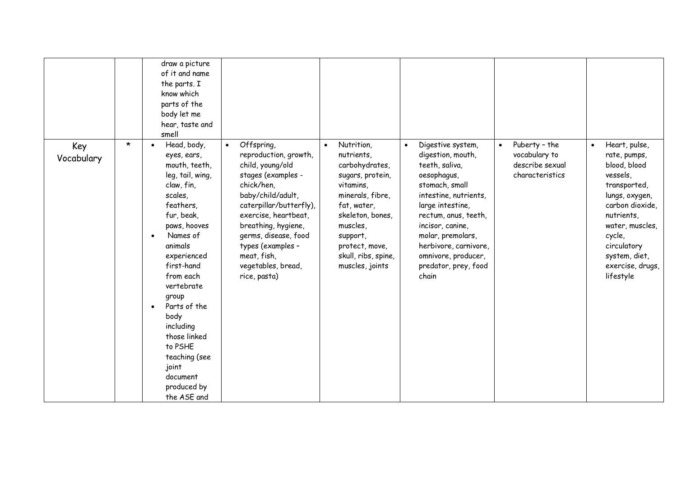|                   |         | draw a picture<br>of it and name<br>the parts. I<br>know which<br>parts of the<br>body let me<br>hear, taste and<br>smell                                                                                                                                                                                                                                       |                                                                                                                                                                                                                                                                                                           |                                                                                                                                                                                                                        |                                                                                                                                                                                                                                                                                          |                                                                                   |                                                                                                                                                                                                                                         |
|-------------------|---------|-----------------------------------------------------------------------------------------------------------------------------------------------------------------------------------------------------------------------------------------------------------------------------------------------------------------------------------------------------------------|-----------------------------------------------------------------------------------------------------------------------------------------------------------------------------------------------------------------------------------------------------------------------------------------------------------|------------------------------------------------------------------------------------------------------------------------------------------------------------------------------------------------------------------------|------------------------------------------------------------------------------------------------------------------------------------------------------------------------------------------------------------------------------------------------------------------------------------------|-----------------------------------------------------------------------------------|-----------------------------------------------------------------------------------------------------------------------------------------------------------------------------------------------------------------------------------------|
| Key<br>Vocabulary | $\star$ | Head, body,<br>eyes, ears,<br>mouth, teeth,<br>leg, tail, wing,<br>claw, fin,<br>scales,<br>feathers,<br>fur, beak,<br>paws, hooves<br>Names of<br>animals<br>experienced<br>first-hand<br>from each<br>vertebrate<br>group<br>Parts of the<br>body<br>including<br>those linked<br>to PSHE<br>teaching (see<br>joint<br>document<br>produced by<br>the ASE and | Offspring,<br>$\bullet$<br>reproduction, growth,<br>child, young/old<br>stages (examples -<br>chick/hen,<br>baby/child/adult,<br>caterpillar/butterfly),<br>exercise, heartbeat,<br>breathing, hygiene,<br>germs, disease, food<br>types (examples -<br>meat, fish,<br>vegetables, bread,<br>rice, pasta) | Nutrition,<br>nutrients,<br>carbohydrates,<br>sugars, protein,<br>vitamins,<br>minerals, fibre,<br>fat, water,<br>skeleton, bones,<br>muscles,<br>support,<br>protect, move,<br>skull, ribs, spine,<br>muscles, joints | Digestive system,<br>digestion, mouth,<br>teeth, saliva,<br>oesophagus,<br>stomach, small<br>intestine, nutrients,<br>large intestine,<br>rectum, anus, teeth,<br>incisor, canine,<br>molar, premolars,<br>herbivore, carnivore,<br>omnivore, producer,<br>predator, prey, food<br>chain | Puberty - the<br>$\bullet$<br>vocabulary to<br>describe sexual<br>characteristics | Heart, pulse,<br>$\bullet$<br>rate, pumps,<br>blood, blood<br>vessels,<br>transported,<br>lungs, oxygen,<br>carbon dioxide,<br>nutrients,<br>water, muscles,<br>cycle,<br>circulatory<br>system, diet,<br>exercise, drugs,<br>lifestyle |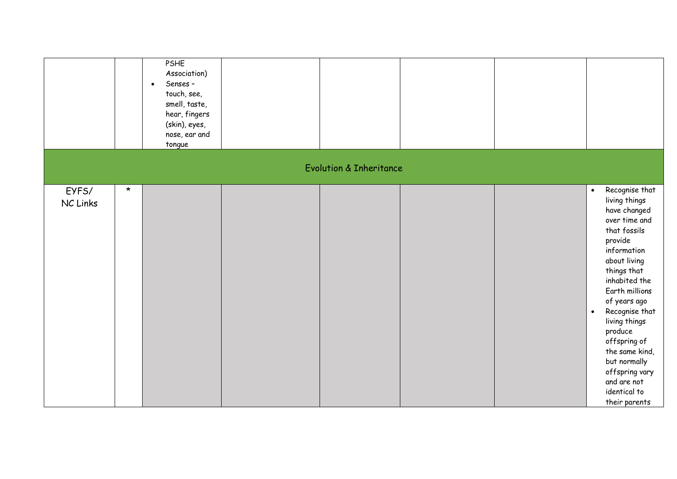|                   |         | PSHE<br>Association)<br>Senses -<br>$\bullet$<br>touch, see,<br>smell, taste,<br>hear, fingers<br>(skin), eyes,<br>nose, ear and<br>tongue |                                    |  |                                                                                                                                                                                                                                                                                                                                                                                          |
|-------------------|---------|--------------------------------------------------------------------------------------------------------------------------------------------|------------------------------------|--|------------------------------------------------------------------------------------------------------------------------------------------------------------------------------------------------------------------------------------------------------------------------------------------------------------------------------------------------------------------------------------------|
|                   |         |                                                                                                                                            | <b>Evolution &amp; Inheritance</b> |  |                                                                                                                                                                                                                                                                                                                                                                                          |
| EYFS/<br>NC Links | $\star$ |                                                                                                                                            |                                    |  | Recognise that<br>$\bullet$<br>living things<br>have changed<br>over time and<br>that fossils<br>provide<br>information<br>about living<br>things that<br>inhabited the<br>Earth millions<br>of years ago<br>Recognise that<br>$\bullet$<br>living things<br>produce<br>offspring of<br>the same kind,<br>but normally<br>offspring vary<br>and are not<br>identical to<br>their parents |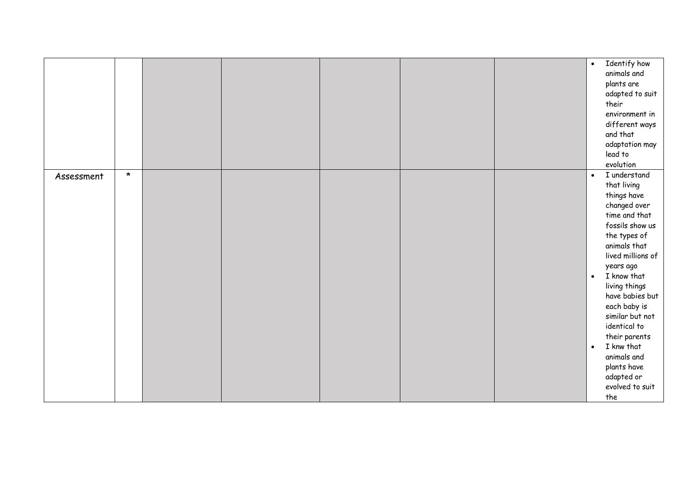|            |         |  |  | Identify how<br>$\bullet$<br>animals and<br>plants are<br>adapted to suit<br>their<br>environment in<br>different ways<br>and that<br>adaptation may<br>lead to<br>evolution                                                                                                                                                                                                                                       |
|------------|---------|--|--|--------------------------------------------------------------------------------------------------------------------------------------------------------------------------------------------------------------------------------------------------------------------------------------------------------------------------------------------------------------------------------------------------------------------|
| Assessment | $\star$ |  |  | I understand<br>$\bullet$<br>that living<br>things have<br>changed over<br>time and that<br>fossils show us<br>the types of<br>animals that<br>lived millions of<br>years ago<br>I know that<br>$\bullet$<br>living things<br>have babies but<br>each baby is<br>similar but not<br>identical to<br>their parents<br>I knw that<br>$\bullet$<br>animals and<br>plants have<br>adapted or<br>evolved to suit<br>the |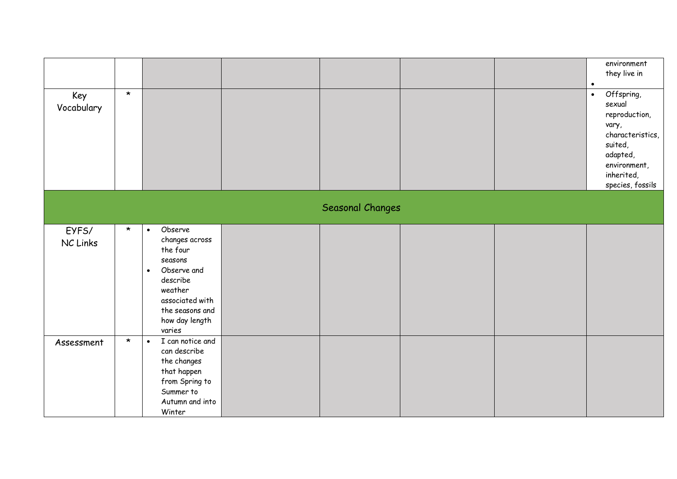|                   |         |                                                                                                                                                                                    |                  |  | environment<br>they live in                                                                                                                                           |
|-------------------|---------|------------------------------------------------------------------------------------------------------------------------------------------------------------------------------------|------------------|--|-----------------------------------------------------------------------------------------------------------------------------------------------------------------------|
| Key<br>Vocabulary | $\star$ |                                                                                                                                                                                    |                  |  | $\bullet$<br>Offspring,<br>$\bullet$<br>sexual<br>reproduction,<br>vary,<br>characteristics,<br>suited,<br>adapted,<br>environment,<br>inherited,<br>species, fossils |
|                   |         |                                                                                                                                                                                    | Seasonal Changes |  |                                                                                                                                                                       |
| EYFS/<br>NC Links | $\star$ | Observe<br>$\bullet$<br>changes across<br>the four<br>seasons<br>Observe and<br>$\bullet$<br>describe<br>weather<br>associated with<br>the seasons and<br>how day length<br>varies |                  |  |                                                                                                                                                                       |
| Assessment        | $\star$ | I can notice and<br>$\bullet$<br>can describe<br>the changes<br>that happen<br>from Spring to<br>Summer to<br>Autumn and into<br>Winter                                            |                  |  |                                                                                                                                                                       |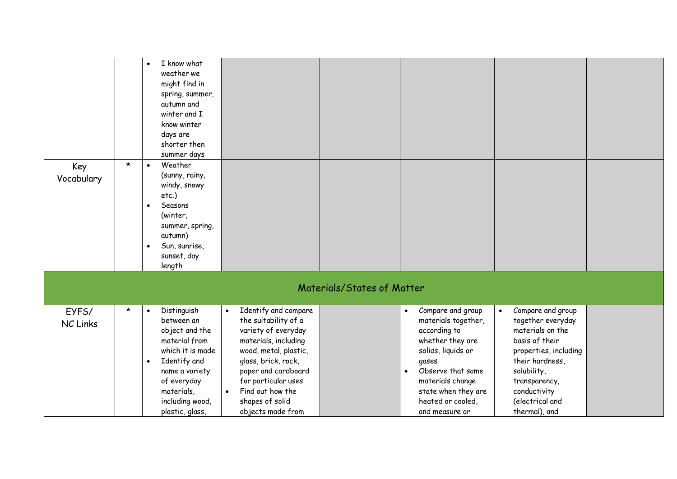|                          |         | I know what<br>$\bullet$<br>weather we<br>might find in<br>spring, summer,<br>autumn and<br>winter and I<br>know winter<br>days are<br>shorter then<br>summer days                                              |                                                                                                                                                                                                                                                                                 |                            |                                                                                                                                                                                                                                              |                                                                                                                                                                                                                           |  |
|--------------------------|---------|-----------------------------------------------------------------------------------------------------------------------------------------------------------------------------------------------------------------|---------------------------------------------------------------------------------------------------------------------------------------------------------------------------------------------------------------------------------------------------------------------------------|----------------------------|----------------------------------------------------------------------------------------------------------------------------------------------------------------------------------------------------------------------------------------------|---------------------------------------------------------------------------------------------------------------------------------------------------------------------------------------------------------------------------|--|
| Key<br>Vocabulary        | $\star$ | Weather<br>$\bullet$<br>(sunny, rainy,<br>windy, snowy<br>etc.)<br>Seasons<br>$\bullet$<br>(winter,<br>summer, spring,<br>autumn)<br>Sun, sunrise,<br>$\bullet$<br>sunset, day<br>length                        |                                                                                                                                                                                                                                                                                 |                            |                                                                                                                                                                                                                                              |                                                                                                                                                                                                                           |  |
|                          |         |                                                                                                                                                                                                                 |                                                                                                                                                                                                                                                                                 | Materials/States of Matter |                                                                                                                                                                                                                                              |                                                                                                                                                                                                                           |  |
| EYFS/<br><b>NC Links</b> | $\star$ | Distinguish<br>$\bullet$<br>between an<br>object and the<br>material from<br>which it is made<br>Identify and<br>$\bullet$<br>name a variety<br>of everyday<br>materials,<br>including wood,<br>plastic, glass, | Identify and compare<br>$\bullet$<br>the suitability of a<br>variety of everyday<br>materials, including<br>wood, metal, plastic,<br>glass, brick, rock,<br>paper and cardboard<br>for particular uses<br>Find out how the<br>$\bullet$<br>shapes of solid<br>objects made from |                            | Compare and group<br>$\bullet$<br>materials together,<br>according to<br>whether they are<br>solids, liquids or<br>gases<br>Observe that some<br>$\bullet$<br>materials change<br>state when they are<br>heated or cooled,<br>and measure or | Compare and group<br>$\bullet$<br>together everyday<br>materials on the<br>basis of their<br>properties, including<br>their hardness,<br>solubility,<br>transparency,<br>conductivity<br>(electrical and<br>thermal), and |  |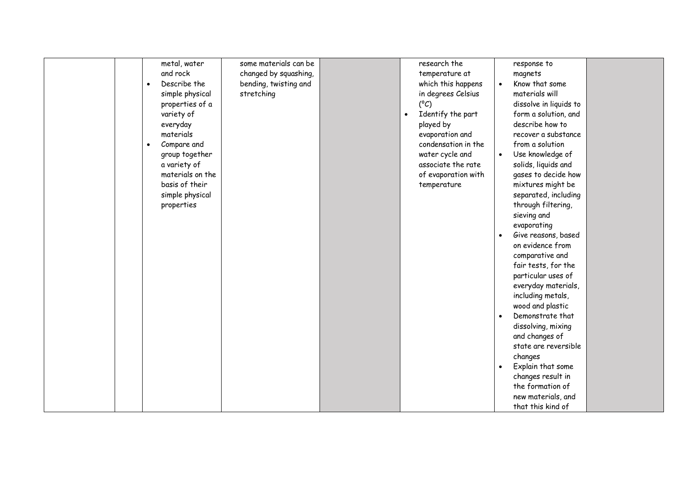| metal, water<br>and rock<br>Describe the<br>$\bullet$<br>simple physical<br>properties of a<br>variety of<br>everyday<br>materials<br>Compare and<br>$\bullet$<br>group together<br>a variety of<br>materials on the<br>basis of their<br>simple physical<br>properties | some materials can be<br>changed by squashing,<br>bending, twisting and<br>stretching | $\bullet$ | research the<br>temperature at<br>which this happens<br>in degrees Celsius<br>$(^{\circ}C)$<br>Identify the part<br>played by<br>evaporation and<br>condensation in the<br>water cycle and<br>associate the rate<br>of evaporation with<br>temperature | $\bullet$ | response to<br>magnets<br>Know that some<br>materials will<br>dissolve in liquids to<br>form a solution, and<br>describe how to<br>recover a substance<br>from a solution<br>Use knowledge of<br>solids, liquids and<br>gases to decide how<br>mixtures might be<br>separated, including<br>through filtering,<br>sieving and<br>evaporating<br>Give reasons, based<br>on evidence from<br>comparative and<br>fair tests, for the<br>particular uses of<br>everyday materials,<br>including metals,<br>wood and plastic<br>Demonstrate that<br>dissolving, mixing<br>and changes of<br>state are reversible<br>changes<br>Explain that some<br>changes result in<br>the formation of<br>new materials, and<br>that this kind of |  |
|-------------------------------------------------------------------------------------------------------------------------------------------------------------------------------------------------------------------------------------------------------------------------|---------------------------------------------------------------------------------------|-----------|--------------------------------------------------------------------------------------------------------------------------------------------------------------------------------------------------------------------------------------------------------|-----------|---------------------------------------------------------------------------------------------------------------------------------------------------------------------------------------------------------------------------------------------------------------------------------------------------------------------------------------------------------------------------------------------------------------------------------------------------------------------------------------------------------------------------------------------------------------------------------------------------------------------------------------------------------------------------------------------------------------------------------|--|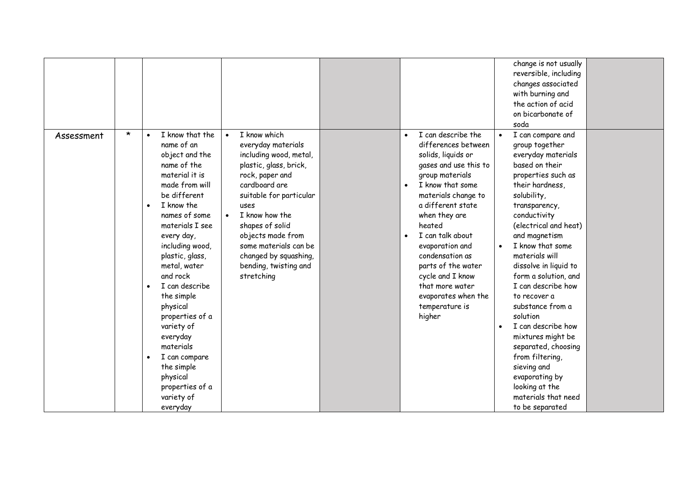|            |         |                                                                                                                                                                                                                                                                                                                                                                                                                                                                                           |                                                                                                                                                                                                                                                                                                                                            |                                                                                                                                                                                                                                                                                                                                                                                               | change is not usually<br>reversible, including<br>changes associated<br>with burning and<br>the action of acid<br>on bicarbonate of<br>soda                                                                                                                                                                                                                                                                                                                                                                                                                   |  |
|------------|---------|-------------------------------------------------------------------------------------------------------------------------------------------------------------------------------------------------------------------------------------------------------------------------------------------------------------------------------------------------------------------------------------------------------------------------------------------------------------------------------------------|--------------------------------------------------------------------------------------------------------------------------------------------------------------------------------------------------------------------------------------------------------------------------------------------------------------------------------------------|-----------------------------------------------------------------------------------------------------------------------------------------------------------------------------------------------------------------------------------------------------------------------------------------------------------------------------------------------------------------------------------------------|---------------------------------------------------------------------------------------------------------------------------------------------------------------------------------------------------------------------------------------------------------------------------------------------------------------------------------------------------------------------------------------------------------------------------------------------------------------------------------------------------------------------------------------------------------------|--|
| Assessment | $\star$ | I know that the<br>$\bullet$<br>name of an<br>object and the<br>name of the<br>material it is<br>made from will<br>be different<br>I know the<br>$\bullet$<br>names of some<br>materials I see<br>every day,<br>including wood,<br>plastic, glass,<br>metal, water<br>and rock<br>I can describe<br>the simple<br>physical<br>properties of a<br>variety of<br>everyday<br>materials<br>I can compare<br>$\bullet$<br>the simple<br>physical<br>properties of a<br>variety of<br>everyday | I know which<br>$\bullet$<br>everyday materials<br>including wood, metal,<br>plastic, glass, brick,<br>rock, paper and<br>cardboard are<br>suitable for particular<br>uses<br>I know how the<br>$\bullet$<br>shapes of solid<br>objects made from<br>some materials can be<br>changed by squashing,<br>bending, twisting and<br>stretching | I can describe the<br>differences between<br>solids, liquids or<br>gases and use this to<br>group materials<br>I know that some<br>materials change to<br>a different state<br>when they are<br>heated<br>I can talk about<br>$\bullet$<br>evaporation and<br>condensation as<br>parts of the water<br>cycle and I know<br>that more water<br>evaporates when the<br>temperature is<br>higher | I can compare and<br>group together<br>everyday materials<br>based on their<br>properties such as<br>their hardness,<br>solubility,<br>transparency,<br>conductivity<br>(electrical and heat)<br>and magnetism<br>I know that some<br>materials will<br>dissolve in liquid to<br>form a solution, and<br>I can describe how<br>to recover a<br>substance from a<br>solution<br>I can describe how<br>mixtures might be<br>separated, choosing<br>from filtering,<br>sieving and<br>evaporating by<br>looking at the<br>materials that need<br>to be separated |  |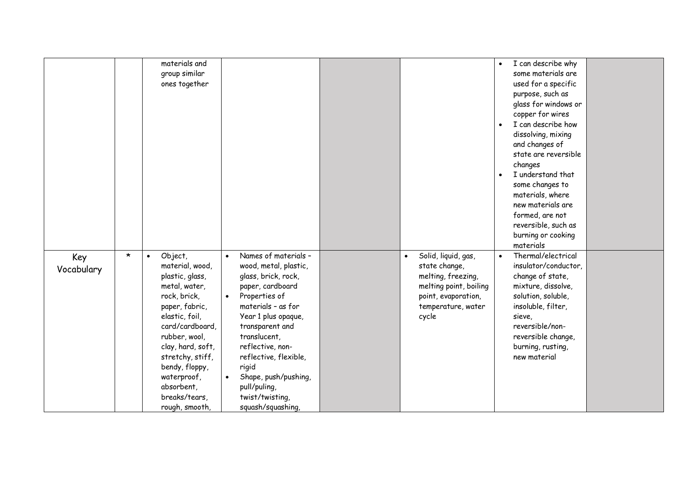|                   |         | materials and<br>group similar<br>ones together                                                                                                                                                                                                                                                |                                                                                                                                                                                                                                                                                                                                                                        |                                                                                                                                                         | $\bullet$<br>$\bullet$<br>$\bullet$ | I can describe why<br>some materials are<br>used for a specific<br>purpose, such as<br>glass for windows or<br>copper for wires<br>I can describe how<br>dissolving, mixing<br>and changes of<br>state are reversible<br>changes<br>I understand that<br>some changes to<br>materials, where<br>new materials are<br>formed, are not<br>reversible, such as<br>burning or cooking<br>materials |  |
|-------------------|---------|------------------------------------------------------------------------------------------------------------------------------------------------------------------------------------------------------------------------------------------------------------------------------------------------|------------------------------------------------------------------------------------------------------------------------------------------------------------------------------------------------------------------------------------------------------------------------------------------------------------------------------------------------------------------------|---------------------------------------------------------------------------------------------------------------------------------------------------------|-------------------------------------|------------------------------------------------------------------------------------------------------------------------------------------------------------------------------------------------------------------------------------------------------------------------------------------------------------------------------------------------------------------------------------------------|--|
| Key<br>Vocabulary | $\star$ | Object,<br>$\bullet$<br>material, wood,<br>plastic, glass,<br>metal, water,<br>rock, brick,<br>paper, fabric,<br>elastic, foil,<br>card/cardboard,<br>rubber, wool,<br>clay, hard, soft,<br>stretchy, stiff,<br>bendy, floppy,<br>waterproof,<br>absorbent,<br>breaks/tears,<br>rough, smooth, | Names of materials -<br>$\bullet$<br>wood, metal, plastic,<br>glass, brick, rock,<br>paper, cardboard<br>Properties of<br>$\bullet$<br>materials - as for<br>Year 1 plus opaque,<br>transparent and<br>translucent,<br>reflective, non-<br>reflective, flexible,<br>rigid<br>Shape, push/pushing,<br>$\bullet$<br>pull/puling,<br>twist/twisting,<br>squash/squashing, | Solid, liquid, gas,<br>$\bullet$<br>state change,<br>melting, freezing,<br>melting point, boiling<br>point, evaporation,<br>temperature, water<br>cycle | $\bullet$                           | Thermal/electrical<br>insulator/conductor,<br>change of state,<br>mixture, dissolve,<br>solution, soluble,<br>insoluble, filter,<br>sieve,<br>reversible/non-<br>reversible change,<br>burning, rusting,<br>new material                                                                                                                                                                       |  |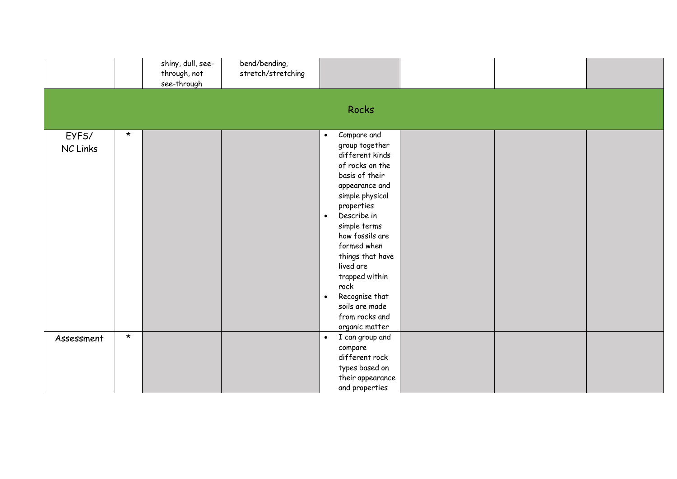|                   |         | shiny, dull, see-<br>through, not<br>see-through | bend/bending,<br>stretch/stretching |                                                                                                                                                                                                                                                                                                                                                                                     |  |  |
|-------------------|---------|--------------------------------------------------|-------------------------------------|-------------------------------------------------------------------------------------------------------------------------------------------------------------------------------------------------------------------------------------------------------------------------------------------------------------------------------------------------------------------------------------|--|--|
|                   |         |                                                  |                                     | Rocks                                                                                                                                                                                                                                                                                                                                                                               |  |  |
| EYFS/<br>NC Links | $\star$ |                                                  |                                     | Compare and<br>$\bullet$<br>group together<br>different kinds<br>of rocks on the<br>basis of their<br>appearance and<br>simple physical<br>properties<br>Describe in<br>$\bullet$<br>simple terms<br>how fossils are<br>formed when<br>things that have<br>lived are<br>trapped within<br>rock<br>Recognise that<br>$\bullet$<br>soils are made<br>from rocks and<br>organic matter |  |  |
| Assessment        | $\star$ |                                                  |                                     | I can group and<br>$\bullet$<br>compare<br>different rock<br>types based on<br>their appearance<br>and properties                                                                                                                                                                                                                                                                   |  |  |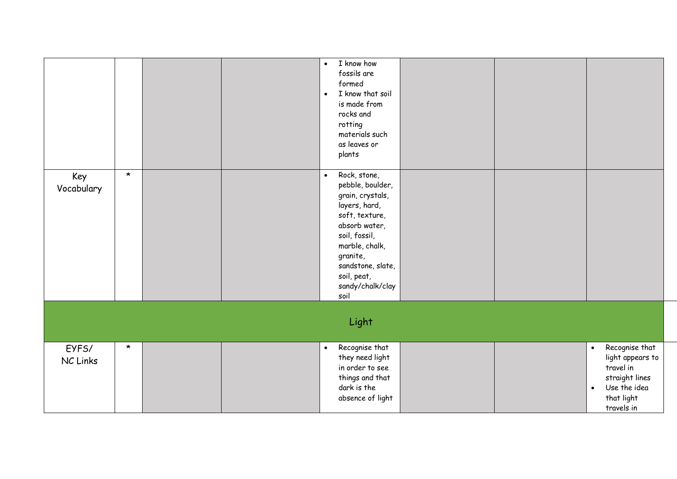|                   |         |  | $\bullet$<br>$\bullet$ | I know how<br>fossils are<br>formed<br>I know that soil<br>is made from<br>rocks and<br>rotting<br>materials such<br>as leaves or<br>plants                                                                             |  |                        |                                                                                                               |
|-------------------|---------|--|------------------------|-------------------------------------------------------------------------------------------------------------------------------------------------------------------------------------------------------------------------|--|------------------------|---------------------------------------------------------------------------------------------------------------|
| Key<br>Vocabulary | $\star$ |  | $\bullet$              | Rock, stone,<br>pebble, boulder,<br>grain, crystals,<br>layers, hard,<br>soft, texture,<br>absorb water,<br>soil, fossil,<br>marble, chalk,<br>granite,<br>sandstone, slate,<br>soil, peat,<br>sandy/chalk/clay<br>soil |  |                        |                                                                                                               |
|                   |         |  |                        | Light                                                                                                                                                                                                                   |  |                        |                                                                                                               |
| EYFS/<br>NC Links | $\star$ |  | $\bullet$              | Recognise that<br>they need light<br>in order to see<br>things and that<br>dark is the<br>absence of light                                                                                                              |  | $\bullet$<br>$\bullet$ | Recognise that<br>light appears to<br>travel in<br>straight lines<br>Use the idea<br>that light<br>travels in |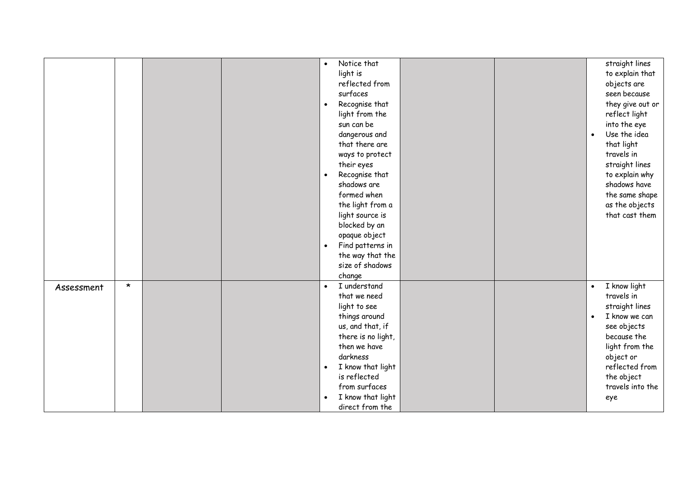|            |         |  |           | Notice that        |  |           | straight lines   |
|------------|---------|--|-----------|--------------------|--|-----------|------------------|
|            |         |  |           | light is           |  |           | to explain that  |
|            |         |  |           | reflected from     |  |           | objects are      |
|            |         |  |           | surfaces           |  |           | seen because     |
|            |         |  | $\bullet$ | Recognise that     |  |           | they give out or |
|            |         |  |           | light from the     |  |           | reflect light    |
|            |         |  |           | sun can be         |  |           | into the eye     |
|            |         |  |           | dangerous and      |  | $\bullet$ | Use the idea     |
|            |         |  |           | that there are     |  |           | that light       |
|            |         |  |           | ways to protect    |  |           | travels in       |
|            |         |  |           | their eyes         |  |           | straight lines   |
|            |         |  |           | Recognise that     |  |           | to explain why   |
|            |         |  |           | shadows are        |  |           | shadows have     |
|            |         |  |           | formed when        |  |           | the same shape   |
|            |         |  |           | the light from a   |  |           | as the objects   |
|            |         |  |           | light source is    |  |           | that cast them   |
|            |         |  |           | blocked by an      |  |           |                  |
|            |         |  |           | opaque object      |  |           |                  |
|            |         |  | $\bullet$ | Find patterns in   |  |           |                  |
|            |         |  |           | the way that the   |  |           |                  |
|            |         |  |           | size of shadows    |  |           |                  |
|            |         |  |           | change             |  |           |                  |
| Assessment | $\star$ |  | $\bullet$ | I understand       |  | $\bullet$ | I know light     |
|            |         |  |           | that we need       |  |           | travels in       |
|            |         |  |           | light to see       |  |           | straight lines   |
|            |         |  |           | things around      |  | $\bullet$ | I know we can    |
|            |         |  |           | us, and that, if   |  |           | see objects      |
|            |         |  |           | there is no light, |  |           | because the      |
|            |         |  |           | then we have       |  |           | light from the   |
|            |         |  |           | darkness           |  |           | object or        |
|            |         |  | $\bullet$ | I know that light  |  |           | reflected from   |
|            |         |  |           | is reflected       |  |           | the object       |
|            |         |  |           | from surfaces      |  |           | travels into the |
|            |         |  | $\bullet$ | I know that light  |  |           | eye              |
|            |         |  |           | direct from the    |  |           |                  |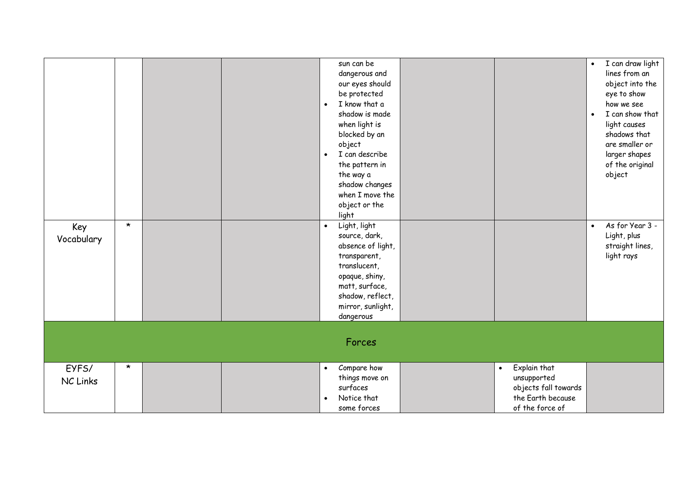| Key<br>Vocabulary | $\star$ |  | $\bullet$<br>$\bullet$<br>$\bullet$ | sun can be<br>dangerous and<br>our eyes should<br>be protected<br>I know that a<br>shadow is made<br>when light is<br>blocked by an<br>object<br>I can describe<br>the pattern in<br>the way a<br>shadow changes<br>when I move the<br>object or the<br>light<br>Light, light<br>source, dark,<br>absence of light,<br>transparent,<br>translucent,<br>opaque, shiny,<br>matt, surface,<br>shadow, reflect,<br>mirror, sunlight,<br>dangerous<br>Forces |                                                                                                          | $\bullet$<br>$\bullet$<br>$\bullet$ | I can draw light<br>lines from an<br>object into the<br>eye to show<br>how we see<br>I can show that<br>light causes<br>shadows that<br>are smaller or<br>larger shapes<br>of the original<br>object<br>As for Year 3 -<br>Light, plus<br>straight lines,<br>light rays |
|-------------------|---------|--|-------------------------------------|---------------------------------------------------------------------------------------------------------------------------------------------------------------------------------------------------------------------------------------------------------------------------------------------------------------------------------------------------------------------------------------------------------------------------------------------------------|----------------------------------------------------------------------------------------------------------|-------------------------------------|-------------------------------------------------------------------------------------------------------------------------------------------------------------------------------------------------------------------------------------------------------------------------|
| EYFS/<br>NC Links | $\star$ |  | $\bullet$                           | Compare how<br>things move on<br>surfaces<br>Notice that<br>some forces                                                                                                                                                                                                                                                                                                                                                                                 | Explain that<br>$\bullet$<br>unsupported<br>objects fall towards<br>the Earth because<br>of the force of |                                     |                                                                                                                                                                                                                                                                         |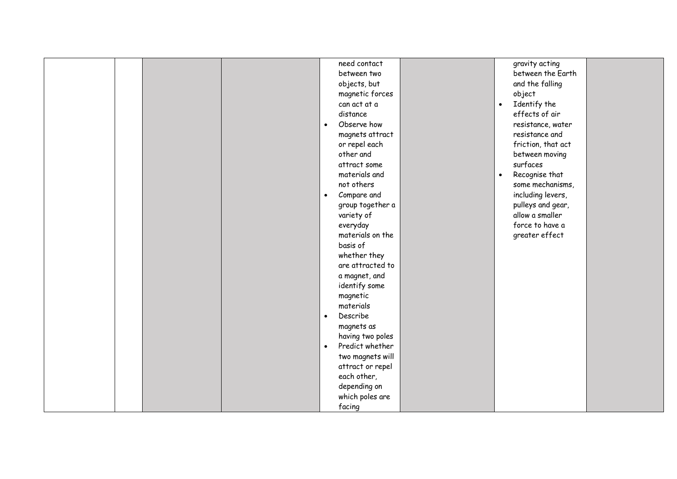|  | need contact                 |           | gravity acting     |  |
|--|------------------------------|-----------|--------------------|--|
|  | between two                  |           | between the Earth  |  |
|  | objects, but                 |           | and the falling    |  |
|  | magnetic forces              |           | object             |  |
|  | can act at a                 | $\bullet$ | Identify the       |  |
|  | distance                     |           | effects of air     |  |
|  | Observe how<br>$\bullet$     |           | resistance, water  |  |
|  | magnets attract              |           | resistance and     |  |
|  | or repel each                |           | friction, that act |  |
|  | other and                    |           | between moving     |  |
|  | attract some                 |           | surfaces           |  |
|  | materials and                | $\bullet$ | Recognise that     |  |
|  | not others                   |           | some mechanisms,   |  |
|  | Compare and<br>$\bullet$     |           | including levers,  |  |
|  | group together a             |           | pulleys and gear,  |  |
|  | variety of                   |           | allow a smaller    |  |
|  | everyday                     |           | force to have a    |  |
|  | materials on the             |           | greater effect     |  |
|  | basis of                     |           |                    |  |
|  | whether they                 |           |                    |  |
|  | are attracted to             |           |                    |  |
|  | a magnet, and                |           |                    |  |
|  | identify some                |           |                    |  |
|  | magnetic                     |           |                    |  |
|  | materials                    |           |                    |  |
|  | Describe<br>$\bullet$        |           |                    |  |
|  | magnets as                   |           |                    |  |
|  | having two poles             |           |                    |  |
|  | Predict whether<br>$\bullet$ |           |                    |  |
|  | two magnets will             |           |                    |  |
|  | attract or repel             |           |                    |  |
|  | each other,                  |           |                    |  |
|  | depending on                 |           |                    |  |
|  | which poles are              |           |                    |  |
|  | facing                       |           |                    |  |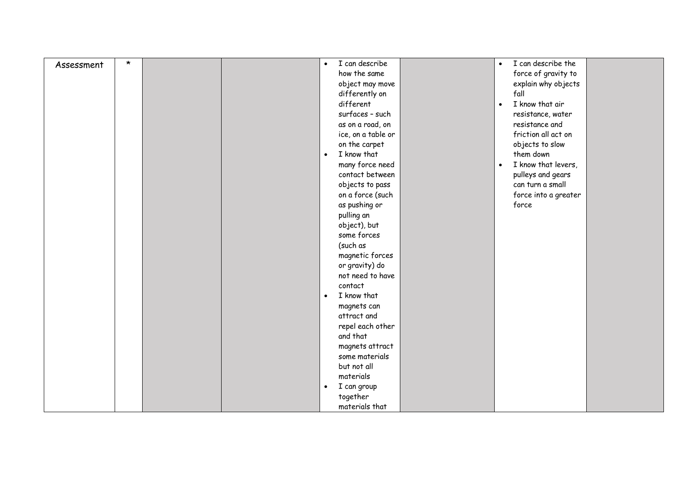| Assessment | $\star$ | $\bullet$ | I can describe     | $\bullet$ | I can describe the   |  |
|------------|---------|-----------|--------------------|-----------|----------------------|--|
|            |         |           | how the same       |           | force of gravity to  |  |
|            |         |           | object may move    |           | explain why objects  |  |
|            |         |           | differently on     |           | fall                 |  |
|            |         |           | different          | $\bullet$ | I know that air      |  |
|            |         |           | surfaces - such    |           | resistance, water    |  |
|            |         |           | as on a road, on   |           | resistance and       |  |
|            |         |           | ice, on a table or |           | friction all act on  |  |
|            |         |           | on the carpet      |           | objects to slow      |  |
|            |         | $\bullet$ | I know that        |           | them down            |  |
|            |         |           | many force need    | $\bullet$ | I know that levers,  |  |
|            |         |           | contact between    |           | pulleys and gears    |  |
|            |         |           | objects to pass    |           | can turn a small     |  |
|            |         |           | on a force (such   |           | force into a greater |  |
|            |         |           | as pushing or      |           | force                |  |
|            |         |           | pulling an         |           |                      |  |
|            |         |           | object), but       |           |                      |  |
|            |         |           | some forces        |           |                      |  |
|            |         |           | (such as           |           |                      |  |
|            |         |           | magnetic forces    |           |                      |  |
|            |         |           | or gravity) do     |           |                      |  |
|            |         |           | not need to have   |           |                      |  |
|            |         |           | contact            |           |                      |  |
|            |         | $\bullet$ | I know that        |           |                      |  |
|            |         |           | magnets can        |           |                      |  |
|            |         |           | attract and        |           |                      |  |
|            |         |           | repel each other   |           |                      |  |
|            |         |           | and that           |           |                      |  |
|            |         |           | magnets attract    |           |                      |  |
|            |         |           | some materials     |           |                      |  |
|            |         |           | but not all        |           |                      |  |
|            |         |           | materials          |           |                      |  |
|            |         | $\bullet$ | I can group        |           |                      |  |
|            |         |           | together           |           |                      |  |
|            |         |           | materials that     |           |                      |  |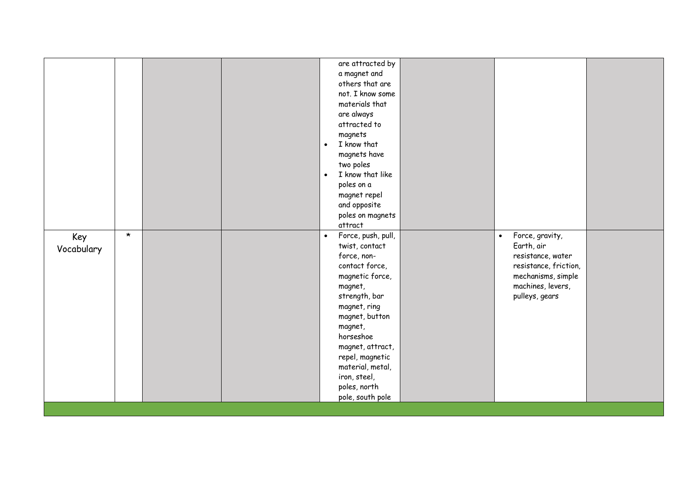|            |         |  |           | are attracted by   |           |                       |  |
|------------|---------|--|-----------|--------------------|-----------|-----------------------|--|
|            |         |  |           | a magnet and       |           |                       |  |
|            |         |  |           | others that are    |           |                       |  |
|            |         |  |           | not. I know some   |           |                       |  |
|            |         |  |           | materials that     |           |                       |  |
|            |         |  |           | are always         |           |                       |  |
|            |         |  |           | attracted to       |           |                       |  |
|            |         |  |           | magnets            |           |                       |  |
|            |         |  | $\bullet$ | I know that        |           |                       |  |
|            |         |  |           | magnets have       |           |                       |  |
|            |         |  |           | two poles          |           |                       |  |
|            |         |  | $\bullet$ | I know that like   |           |                       |  |
|            |         |  |           | poles on a         |           |                       |  |
|            |         |  |           | magnet repel       |           |                       |  |
|            |         |  |           | and opposite       |           |                       |  |
|            |         |  |           | poles on magnets   |           |                       |  |
|            |         |  |           | attract            |           |                       |  |
| Key        | $\star$ |  | $\bullet$ | Force, push, pull, | $\bullet$ | Force, gravity,       |  |
|            |         |  |           | twist, contact     |           | Earth, air            |  |
| Vocabulary |         |  |           | force, non-        |           | resistance, water     |  |
|            |         |  |           | contact force,     |           | resistance, friction, |  |
|            |         |  |           | magnetic force,    |           | mechanisms, simple    |  |
|            |         |  |           | magnet,            |           | machines, levers,     |  |
|            |         |  |           | strength, bar      |           | pulleys, gears        |  |
|            |         |  |           | magnet, ring       |           |                       |  |
|            |         |  |           | magnet, button     |           |                       |  |
|            |         |  |           | magnet,            |           |                       |  |
|            |         |  |           | horseshoe          |           |                       |  |
|            |         |  |           | magnet, attract,   |           |                       |  |
|            |         |  |           | repel, magnetic    |           |                       |  |
|            |         |  |           | material, metal,   |           |                       |  |
|            |         |  |           | iron, steel,       |           |                       |  |
|            |         |  |           | poles, north       |           |                       |  |
|            |         |  |           | pole, south pole   |           |                       |  |
|            |         |  |           |                    |           |                       |  |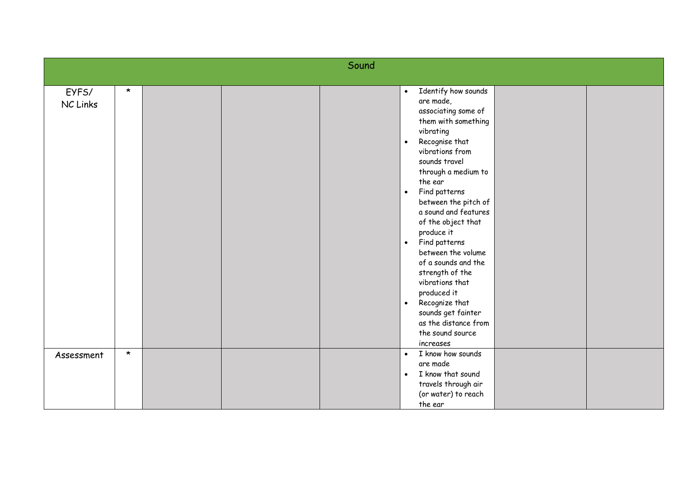|                   |         |  | Sound |                                                                                                                                                                                                                                                                                                                                                                                                                                                                                                                                                                               |  |
|-------------------|---------|--|-------|-------------------------------------------------------------------------------------------------------------------------------------------------------------------------------------------------------------------------------------------------------------------------------------------------------------------------------------------------------------------------------------------------------------------------------------------------------------------------------------------------------------------------------------------------------------------------------|--|
| EYFS/<br>NC Links | $\star$ |  |       | Identify how sounds<br>$\bullet$<br>are made,<br>associating some of<br>them with something<br>vibrating<br>Recognise that<br>$\bullet$<br>vibrations from<br>sounds travel<br>through a medium to<br>the ear<br>Find patterns<br>$\bullet$<br>between the pitch of<br>a sound and features<br>of the object that<br>produce it<br>Find patterns<br>$\bullet$<br>between the volume<br>of a sounds and the<br>strength of the<br>vibrations that<br>produced it<br>Recognize that<br>$\bullet$<br>sounds get fainter<br>as the distance from<br>the sound source<br>increases |  |
| Assessment        | $\star$ |  |       | I know how sounds<br>$\bullet$<br>are made<br>I know that sound<br>$\bullet$<br>travels through air<br>(or water) to reach<br>the ear                                                                                                                                                                                                                                                                                                                                                                                                                                         |  |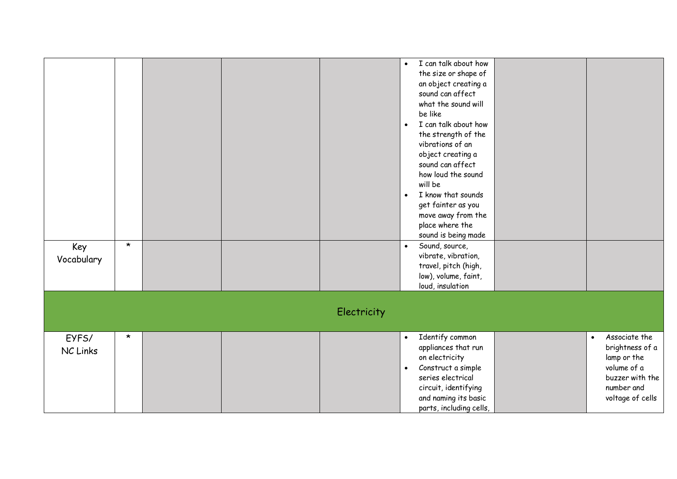| Key<br>Vocabulary | $\star$ |  |             | I can talk about how<br>$\bullet$<br>the size or shape of<br>an object creating a<br>sound can affect<br>what the sound will<br>be like<br>I can talk about how<br>$\bullet$<br>the strength of the<br>vibrations of an<br>object creating a<br>sound can affect<br>how loud the sound<br>will be<br>I know that sounds<br>$\bullet$<br>get fainter as you<br>move away from the<br>place where the<br>sound is being made<br>Sound, source,<br>$\bullet$<br>vibrate, vibration,<br>travel, pitch (high,<br>low), volume, faint,<br>loud, insulation |                                                                                                                                  |
|-------------------|---------|--|-------------|------------------------------------------------------------------------------------------------------------------------------------------------------------------------------------------------------------------------------------------------------------------------------------------------------------------------------------------------------------------------------------------------------------------------------------------------------------------------------------------------------------------------------------------------------|----------------------------------------------------------------------------------------------------------------------------------|
|                   |         |  | Electricity |                                                                                                                                                                                                                                                                                                                                                                                                                                                                                                                                                      |                                                                                                                                  |
| EYFS/<br>NC Links | $\star$ |  |             | Identify common<br>appliances that run<br>on electricity<br>Construct a simple<br>$\bullet$<br>series electrical<br>circuit, identifying<br>and naming its basic<br>parts, including cells,                                                                                                                                                                                                                                                                                                                                                          | Associate the<br>$\bullet$<br>brightness of a<br>lamp or the<br>volume of a<br>buzzer with the<br>number and<br>voltage of cells |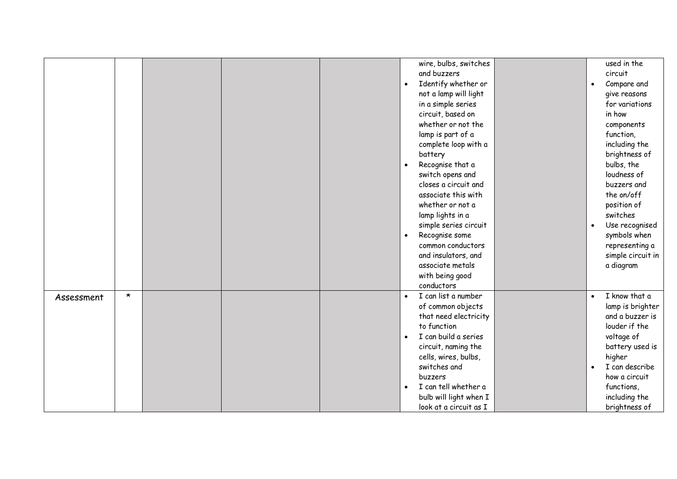|            |         |  |                        | wire, bulbs, switches<br>and buzzers<br>Identify whether or<br>not a lamp will light<br>in a simple series<br>circuit, based on<br>whether or not the<br>lamp is part of a<br>complete loop with a<br>battery<br>Recognise that a<br>switch opens and<br>closes a circuit and<br>associate this with<br>whether or not a<br>lamp lights in a<br>simple series circuit<br>Recognise some<br>common conductors<br>and insulators, and<br>associate metals<br>with being good<br>conductors | $\bullet$<br>$\bullet$ | used in the<br>circuit<br>Compare and<br>give reasons<br>for variations<br>in how<br>components<br>function,<br>including the<br>brightness of<br>bulbs, the<br>loudness of<br>buzzers and<br>the on/off<br>position of<br>switches<br>Use recognised<br>symbols when<br>representing a<br>simple circuit in<br>a diagram |
|------------|---------|--|------------------------|------------------------------------------------------------------------------------------------------------------------------------------------------------------------------------------------------------------------------------------------------------------------------------------------------------------------------------------------------------------------------------------------------------------------------------------------------------------------------------------|------------------------|---------------------------------------------------------------------------------------------------------------------------------------------------------------------------------------------------------------------------------------------------------------------------------------------------------------------------|
| Assessment | $\star$ |  | $\bullet$<br>$\bullet$ | I can list a number<br>of common objects<br>that need electricity<br>to function<br>I can build a series<br>circuit, naming the<br>cells, wires, bulbs,<br>switches and<br>buzzers<br>I can tell whether a<br>bulb will light when I<br>look at a circuit as I                                                                                                                                                                                                                           | $\bullet$<br>$\bullet$ | I know that a<br>lamp is brighter<br>and a buzzer is<br>louder if the<br>voltage of<br>battery used is<br>higher<br>I can describe<br>how a circuit<br>functions,<br>including the<br>brightness of                                                                                                                       |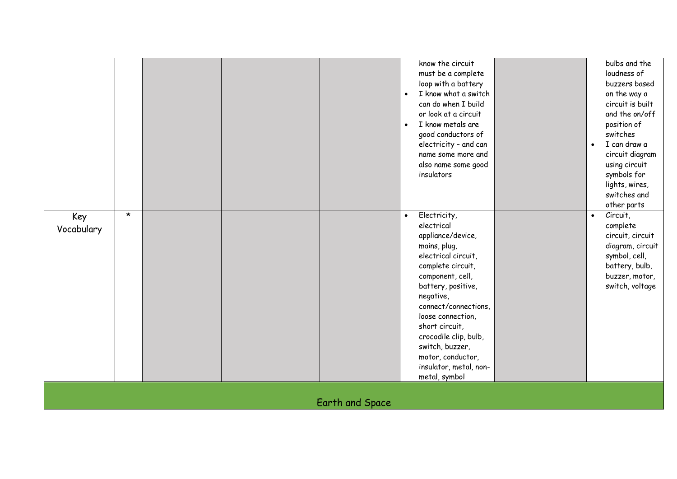| Key<br>Vocabulary | $\star$ |  |                 | know the circuit<br>must be a complete<br>loop with a battery<br>I know what a switch<br>$\bullet$<br>can do when I build<br>or look at a circuit<br>I know metals are<br>$\bullet$<br>good conductors of<br>electricity - and can<br>name some more and<br>also name some good<br>insulators<br>Electricity,<br>$\bullet$<br>electrical<br>appliance/device,<br>mains, plug,<br>electrical circuit, | $\bullet$<br>$\bullet$ | bulbs and the<br>loudness of<br>buzzers based<br>on the way a<br>circuit is built<br>and the on/off<br>position of<br>switches<br>I can draw a<br>circuit diagram<br>using circuit<br>symbols for<br>lights, wires,<br>switches and<br>other parts<br>Circuit,<br>complete<br>circuit, circuit<br>diagram, circuit<br>symbol, cell, |
|-------------------|---------|--|-----------------|------------------------------------------------------------------------------------------------------------------------------------------------------------------------------------------------------------------------------------------------------------------------------------------------------------------------------------------------------------------------------------------------------|------------------------|-------------------------------------------------------------------------------------------------------------------------------------------------------------------------------------------------------------------------------------------------------------------------------------------------------------------------------------|
|                   |         |  |                 | battery, positive,<br>negative,<br>connect/connections,<br>loose connection,<br>short circuit,<br>crocodile clip, bulb,<br>switch, buzzer,                                                                                                                                                                                                                                                           |                        | switch, voltage                                                                                                                                                                                                                                                                                                                     |
|                   |         |  |                 | motor, conductor,<br>insulator, metal, non-<br>metal, symbol                                                                                                                                                                                                                                                                                                                                         |                        |                                                                                                                                                                                                                                                                                                                                     |
|                   |         |  | Earth and Space |                                                                                                                                                                                                                                                                                                                                                                                                      |                        |                                                                                                                                                                                                                                                                                                                                     |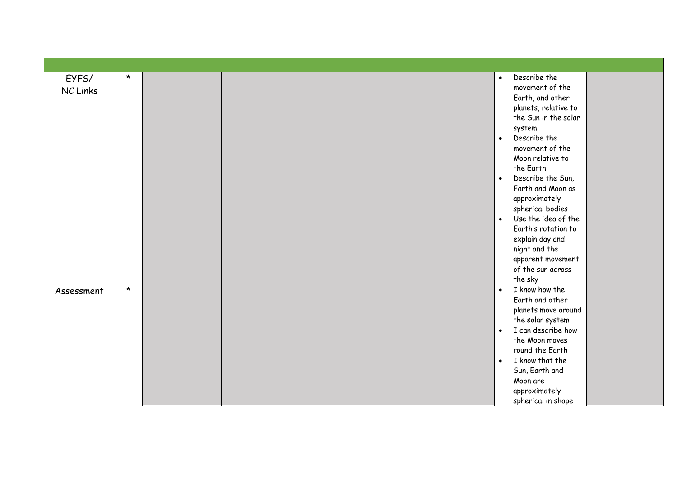| EYFS/<br>NC Links | $\star$ |  |  | Describe the<br>$\bullet$<br>movement of the<br>Earth, and other<br>planets, relative to<br>the Sun in the solar<br>system<br>Describe the<br>$\bullet$<br>movement of the<br>Moon relative to<br>the Earth<br>Describe the Sun,<br>$\bullet$<br>Earth and Moon as<br>approximately<br>spherical bodies<br>Use the idea of the<br>$\bullet$<br>Earth's rotation to<br>explain day and<br>night and the<br>apparent movement<br>of the sun across<br>the sky |  |
|-------------------|---------|--|--|-------------------------------------------------------------------------------------------------------------------------------------------------------------------------------------------------------------------------------------------------------------------------------------------------------------------------------------------------------------------------------------------------------------------------------------------------------------|--|
| Assessment        | $\star$ |  |  | I know how the<br>$\bullet$<br>Earth and other<br>planets move around<br>the solar system<br>I can describe how<br>$\bullet$<br>the Moon moves<br>round the Earth<br>I know that the<br>$\bullet$<br>Sun, Earth and<br>Moon are<br>approximately<br>spherical in shape                                                                                                                                                                                      |  |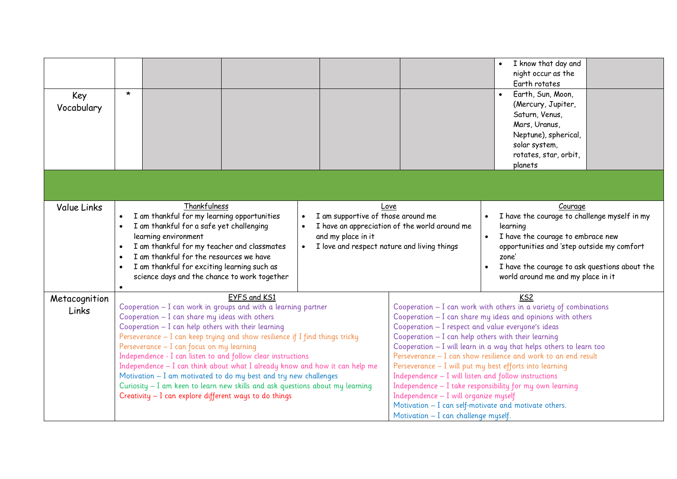| Key<br>Vocabulary      | $\star$                                                                                                                                                                                                                                                                                                                                                                                                                                                                                                                                                                                                                                                                              |                                                                                                                                                                  |                                                                                                                                                                                                                                                                                                                                                                          | I know that day and<br>$\bullet$<br>night occur as the<br>Earth rotates<br>Earth, Sun, Moon,<br>$\bullet$<br>(Mercury, Jupiter,<br>Saturn, Venus,<br>Mars, Uranus,<br>Neptune), spherical,<br>solar system,<br>rotates, star, orbit,<br>planets                                                                                                           |
|------------------------|--------------------------------------------------------------------------------------------------------------------------------------------------------------------------------------------------------------------------------------------------------------------------------------------------------------------------------------------------------------------------------------------------------------------------------------------------------------------------------------------------------------------------------------------------------------------------------------------------------------------------------------------------------------------------------------|------------------------------------------------------------------------------------------------------------------------------------------------------------------|--------------------------------------------------------------------------------------------------------------------------------------------------------------------------------------------------------------------------------------------------------------------------------------------------------------------------------------------------------------------------|-----------------------------------------------------------------------------------------------------------------------------------------------------------------------------------------------------------------------------------------------------------------------------------------------------------------------------------------------------------|
|                        |                                                                                                                                                                                                                                                                                                                                                                                                                                                                                                                                                                                                                                                                                      |                                                                                                                                                                  |                                                                                                                                                                                                                                                                                                                                                                          |                                                                                                                                                                                                                                                                                                                                                           |
| <b>Value Links</b>     | Thankfulness<br>I am thankful for my learning opportunities<br>$\bullet$<br>I am thankful for a safe yet challenging<br>$\bullet$<br>learning environment<br>I am thankful for my teacher and classmates<br>$\bullet$<br>I am thankful for the resources we have<br>I am thankful for exciting learning such as<br>$\bullet$<br>science days and the chance to work together<br>$\bullet$                                                                                                                                                                                                                                                                                            | Love<br>I am supportive of those around me<br>I have an appreciation of the world around me<br>and my place in it<br>I love and respect nature and living things | $\bullet$<br>$\bullet$                                                                                                                                                                                                                                                                                                                                                   | Courage<br>I have the courage to challenge myself in my<br>learning<br>I have the courage to embrace new<br>opportunities and 'step outside my comfort<br>zone'<br>I have the courage to ask questions about the<br>world around me and my place in it                                                                                                    |
| Metacognition<br>Links | EYFS and KS1<br>Cooperation - I can work in groups and with a learning partner<br>Cooperation - I can share my ideas with others<br>Cooperation - I can help others with their learning<br>Perseverance $-$ I can keep trying and show resilience if I find things tricky<br>Perseverance - I can focus on my learning<br>Independence - I can listen to and follow clear instructions<br>Independence - I can think about what I already know and how it can help me<br>Motivation - I am motivated to do my best and try new challenges<br>Curiosity - I am keen to learn new skills and ask questions about my learning<br>Creativity - I can explore different ways to do things |                                                                                                                                                                  | Cooperation - I respect and value everyone's ideas<br>Cooperation - I can help others with their learning<br>Perseverance - I will put my best efforts into learning<br>Independence $-$ I will listen and follow instructions<br>Independence - I will organize myself<br>Motivation - I can self-motivate and motivate others.<br>Motivation - I can challenge myself. | KS <sub>2</sub><br>Cooperation $-$ I can work with others in a variety of combinations<br>Cooperation - I can share my ideas and opinions with others<br>Cooperation - I will learn in a way that helps others to learn too<br>Perseverance – I can show resilience and work to an end result<br>Independence - I take responsibility for my own learning |